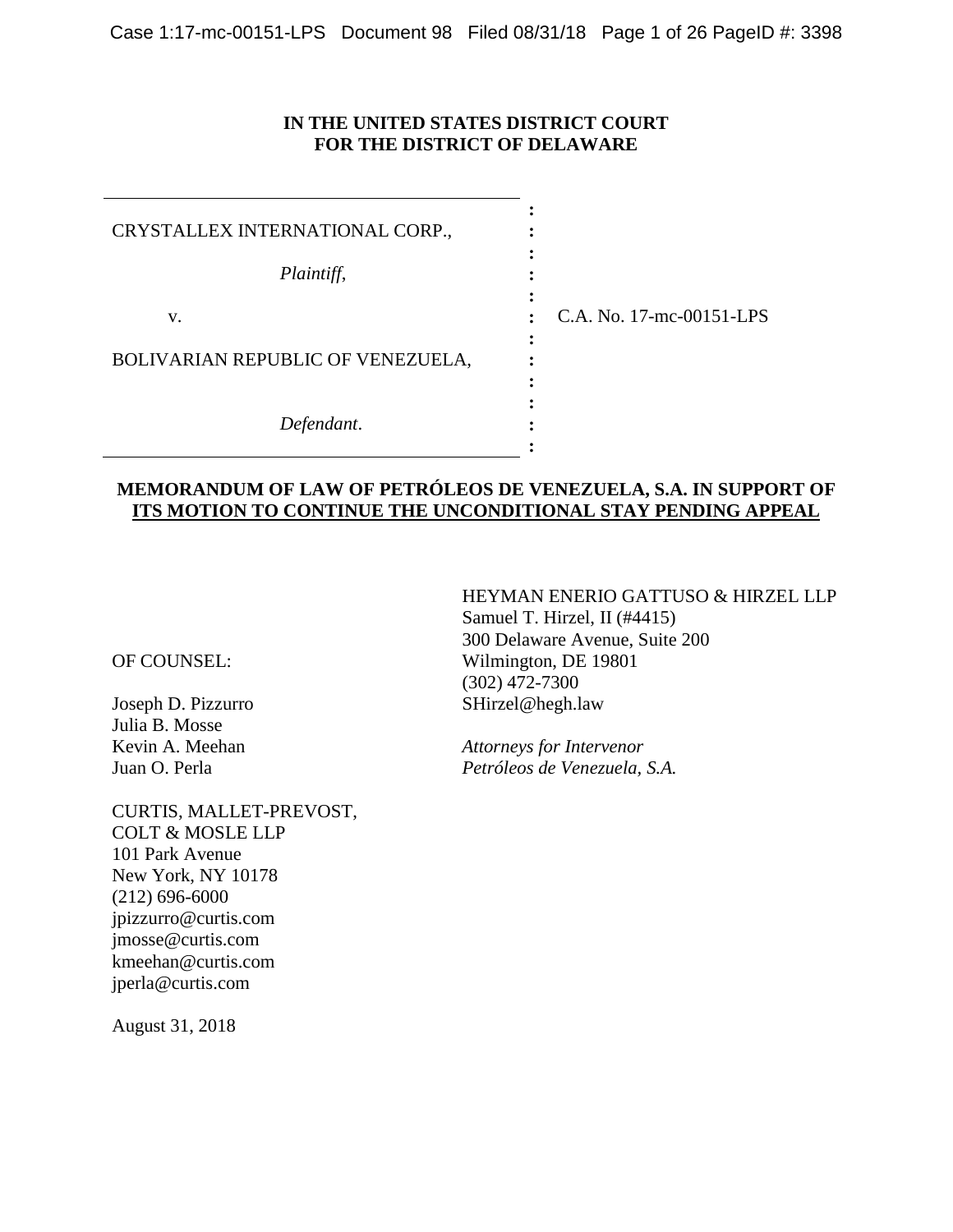### **IN THE UNITED STATES DISTRICT COURT FOR THE DISTRICT OF DELAWARE**

| CRYSTALLEX INTERNATIONAL CORP.,         |                          |
|-----------------------------------------|--------------------------|
| Plaintiff,                              |                          |
| v.<br>BOLIVARIAN REPUBLIC OF VENEZUELA, | C.A. No. 17-mc-00151-LPS |
| Defendant.                              |                          |

### **MEMORANDUM OF LAW OF PETRÓLEOS DE VENEZUELA, S.A. IN SUPPORT OF ITS MOTION TO CONTINUE THE UNCONDITIONAL STAY PENDING APPEAL**

OF COUNSEL:

Joseph D. Pizzurro Julia B. Mosse Kevin A. Meehan Juan O. Perla

CURTIS, MALLET-PREVOST, COLT & MOSLE LLP 101 Park Avenue New York, NY 10178 (212) 696-6000 jpizzurro@curtis.com jmosse@curtis.com kmeehan@curtis.com jperla@curtis.com

August 31, 2018

HEYMAN ENERIO GATTUSO & HIRZEL LLP Samuel T. Hirzel, II (#4415) 300 Delaware Avenue, Suite 200 Wilmington, DE 19801 (302) 472-7300 SHirzel@hegh.law

*Attorneys for Intervenor Petróleos de Venezuela, S.A.*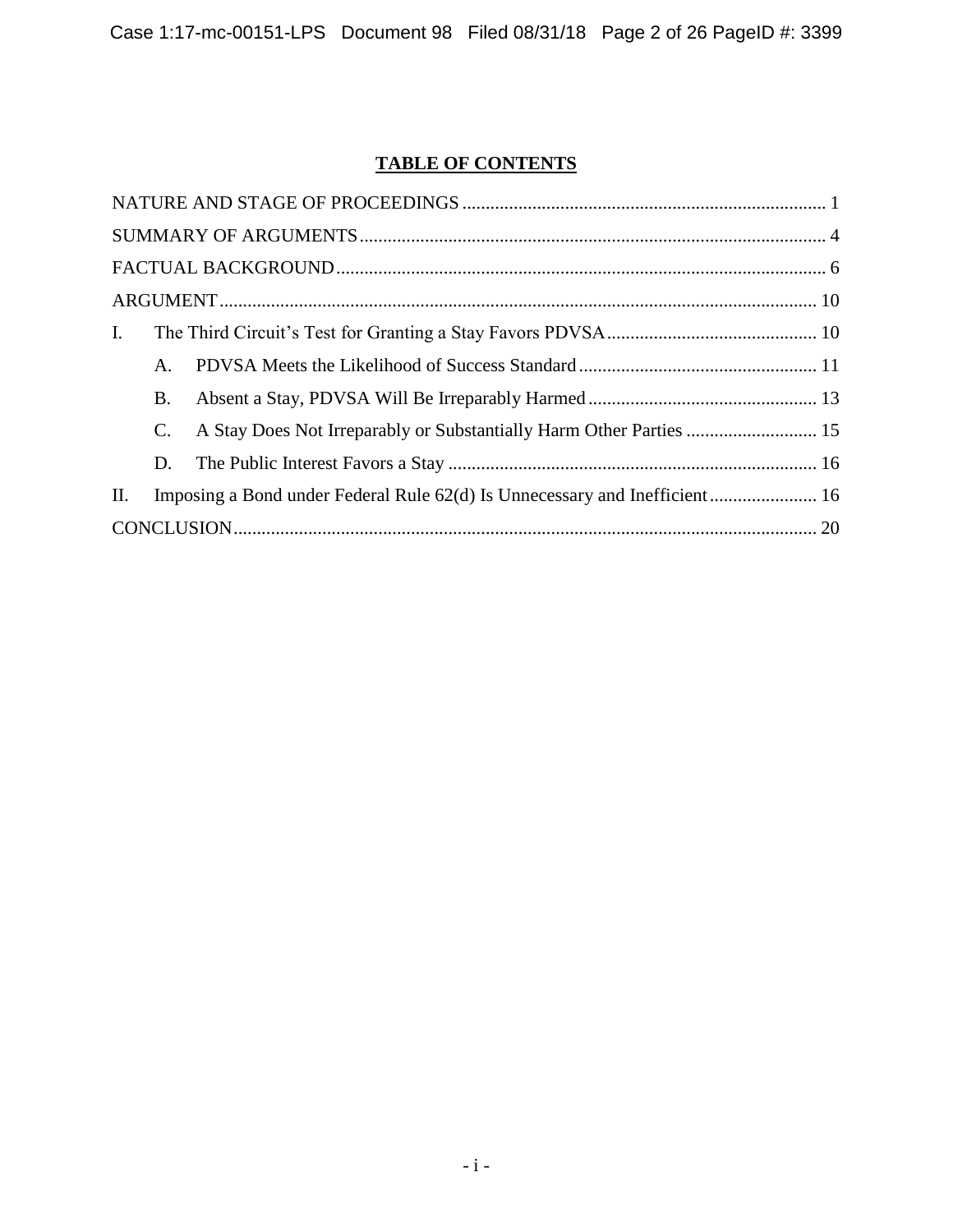# **TABLE OF CONTENTS**

| $\mathbf{I}$ .                                                                   |  |
|----------------------------------------------------------------------------------|--|
| A.                                                                               |  |
| B.                                                                               |  |
| C.                                                                               |  |
| D.                                                                               |  |
| Imposing a Bond under Federal Rule 62(d) Is Unnecessary and Inefficient 16<br>П. |  |
|                                                                                  |  |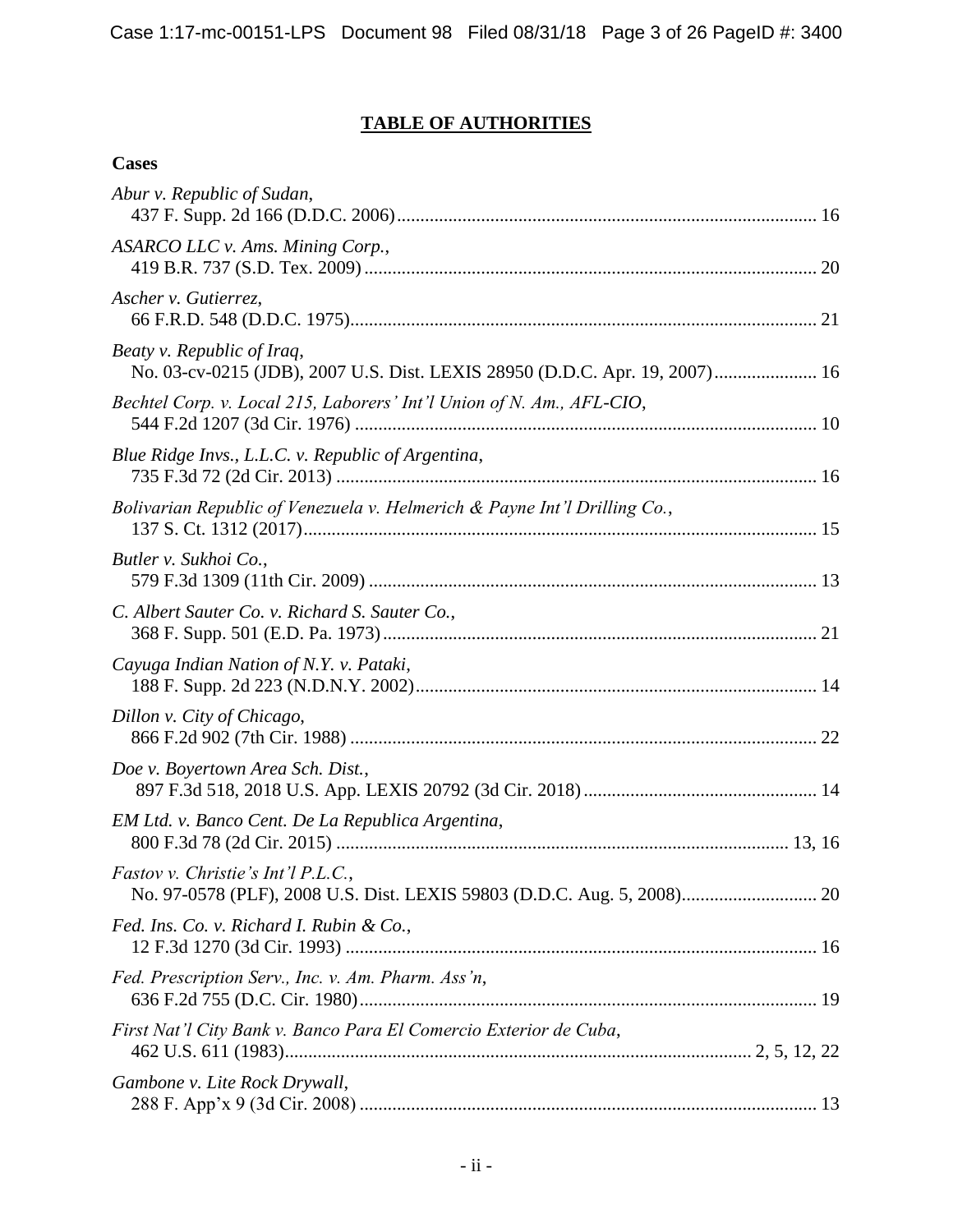# **TABLE OF AUTHORITIES**

## **Cases**

| Abur v. Republic of Sudan,                                                                                |  |
|-----------------------------------------------------------------------------------------------------------|--|
| ASARCO LLC v. Ams. Mining Corp.,                                                                          |  |
| Ascher v. Gutierrez,                                                                                      |  |
| Beaty v. Republic of Iraq,<br>No. 03-cv-0215 (JDB), 2007 U.S. Dist. LEXIS 28950 (D.D.C. Apr. 19, 2007) 16 |  |
| Bechtel Corp. v. Local 215, Laborers' Int'l Union of N. Am., AFL-CIO,                                     |  |
| Blue Ridge Invs., L.L.C. v. Republic of Argentina,                                                        |  |
| Bolivarian Republic of Venezuela v. Helmerich & Payne Int'l Drilling Co.,                                 |  |
| Butler v. Sukhoi Co.,                                                                                     |  |
| C. Albert Sauter Co. v. Richard S. Sauter Co.,                                                            |  |
| Cayuga Indian Nation of N.Y. v. Pataki,                                                                   |  |
| Dillon v. City of Chicago,                                                                                |  |
| Doe v. Boyertown Area Sch. Dist.,                                                                         |  |
| EM Ltd. v. Banco Cent. De La Republica Argentina,                                                         |  |
| <i>Fastov v. Christie's Int'l P.L.C.</i> ,                                                                |  |
| Fed. Ins. Co. v. Richard I. Rubin & Co.,                                                                  |  |
| Fed. Prescription Serv., Inc. v. Am. Pharm. Ass'n,                                                        |  |
| First Nat'l City Bank v. Banco Para El Comercio Exterior de Cuba,                                         |  |
| Gambone v. Lite Rock Drywall,                                                                             |  |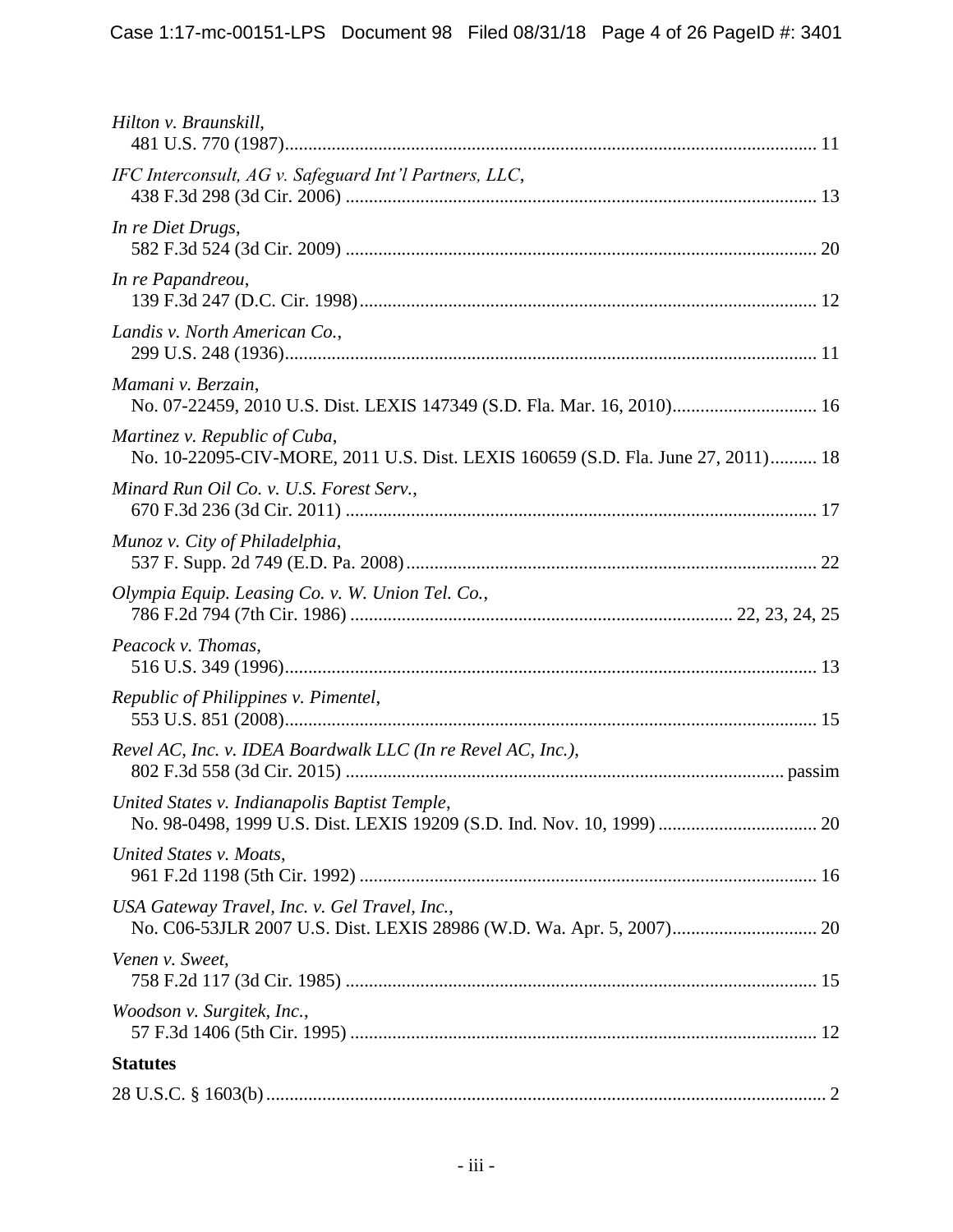| Hilton v. Braunskill,                                                                                             |
|-------------------------------------------------------------------------------------------------------------------|
| IFC Interconsult, AG v. Safeguard Int'l Partners, LLC,                                                            |
| In re Diet Drugs,                                                                                                 |
| In re Papandreou,                                                                                                 |
| Landis v. North American Co.,                                                                                     |
| Mamani v. Berzain,<br>No. 07-22459, 2010 U.S. Dist. LEXIS 147349 (S.D. Fla. Mar. 16, 2010) 16                     |
| Martinez v. Republic of Cuba,<br>No. 10-22095-CIV-MORE, 2011 U.S. Dist. LEXIS 160659 (S.D. Fla. June 27, 2011) 18 |
| Minard Run Oil Co. v. U.S. Forest Serv.,                                                                          |
| Munoz v. City of Philadelphia,                                                                                    |
| Olympia Equip. Leasing Co. v. W. Union Tel. Co.,                                                                  |
| Peacock v. Thomas,                                                                                                |
| Republic of Philippines v. Pimentel,                                                                              |
| Revel AC, Inc. v. IDEA Boardwalk LLC (In re Revel AC, Inc.),                                                      |
| United States v. Indianapolis Baptist Temple,                                                                     |
| United States v. Moats,                                                                                           |
| USA Gateway Travel, Inc. v. Gel Travel, Inc.,                                                                     |
| Venen v. Sweet,                                                                                                   |
| Woodson v. Surgitek, Inc.,                                                                                        |
| <b>Statutes</b>                                                                                                   |
|                                                                                                                   |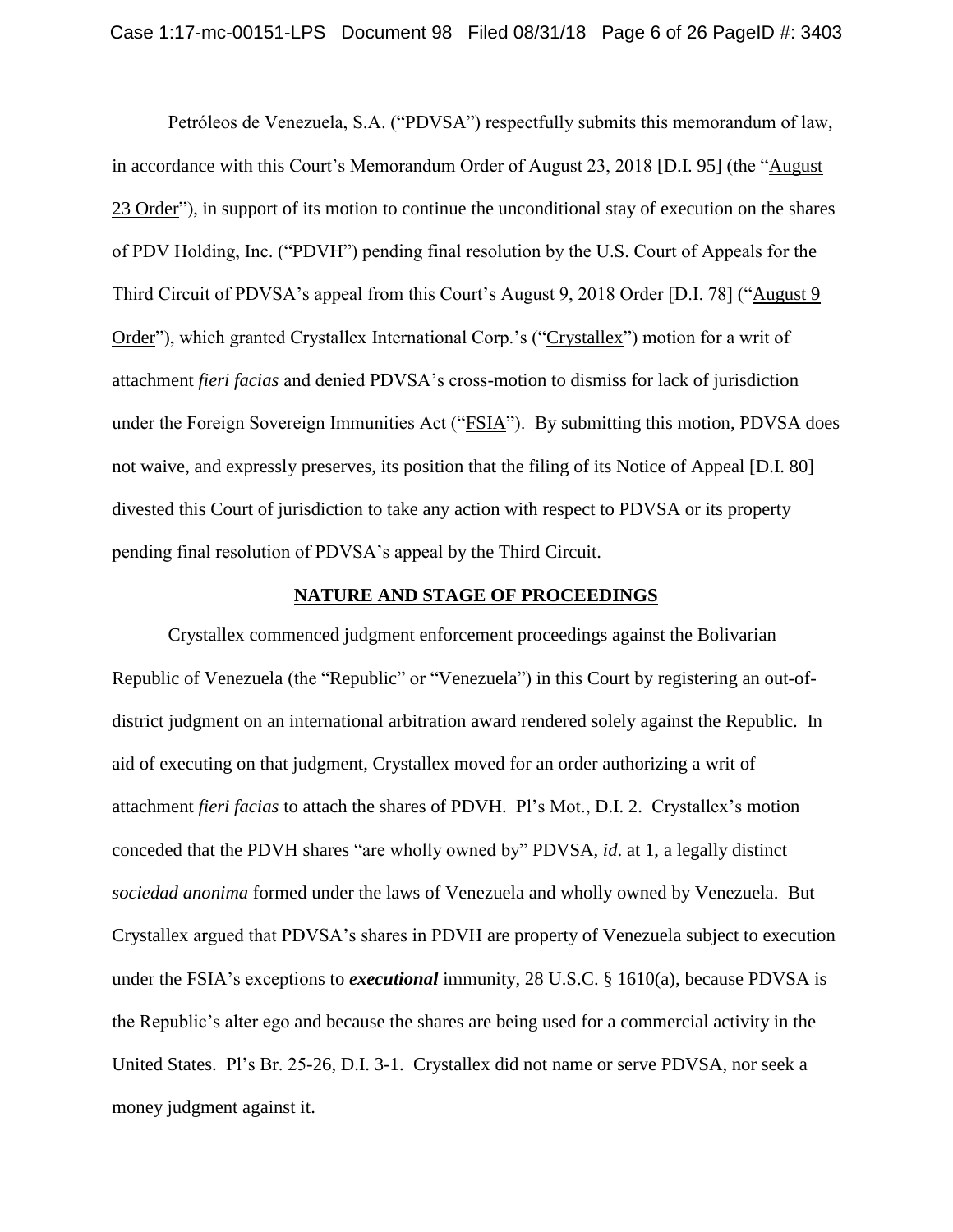Petróleos de Venezuela, S.A. ("PDVSA") respectfully submits this memorandum of law, in accordance with this Court's Memorandum Order of August 23, 2018 [D.I. 95] (the "August 23 Order"), in support of its motion to continue the unconditional stay of execution on the shares of PDV Holding, Inc. ("PDVH") pending final resolution by the U.S. Court of Appeals for the Third Circuit of PDVSA's appeal from this Court's August 9, 2018 Order [D.I. 78] ("August 9 Order"), which granted Crystallex International Corp.'s ("Crystallex") motion for a writ of attachment *fieri facias* and denied PDVSA's cross-motion to dismiss for lack of jurisdiction under the Foreign Sovereign Immunities Act ("FSIA"). By submitting this motion, PDVSA does not waive, and expressly preserves, its position that the filing of its Notice of Appeal [D.I. 80] divested this Court of jurisdiction to take any action with respect to PDVSA or its property pending final resolution of PDVSA's appeal by the Third Circuit.

#### **NATURE AND STAGE OF PROCEEDINGS**

Crystallex commenced judgment enforcement proceedings against the Bolivarian Republic of Venezuela (the "Republic" or "Venezuela") in this Court by registering an out-ofdistrict judgment on an international arbitration award rendered solely against the Republic. In aid of executing on that judgment, Crystallex moved for an order authorizing a writ of attachment *fieri facias* to attach the shares of PDVH. Pl's Mot., D.I. 2. Crystallex's motion conceded that the PDVH shares "are wholly owned by" PDVSA, *id*. at 1, a legally distinct *sociedad anonima* formed under the laws of Venezuela and wholly owned by Venezuela. But Crystallex argued that PDVSA's shares in PDVH are property of Venezuela subject to execution under the FSIA's exceptions to *executional* immunity, 28 U.S.C. § 1610(a), because PDVSA is the Republic's alter ego and because the shares are being used for a commercial activity in the United States. Pl's Br. 25-26, D.I. 3-1. Crystallex did not name or serve PDVSA, nor seek a money judgment against it.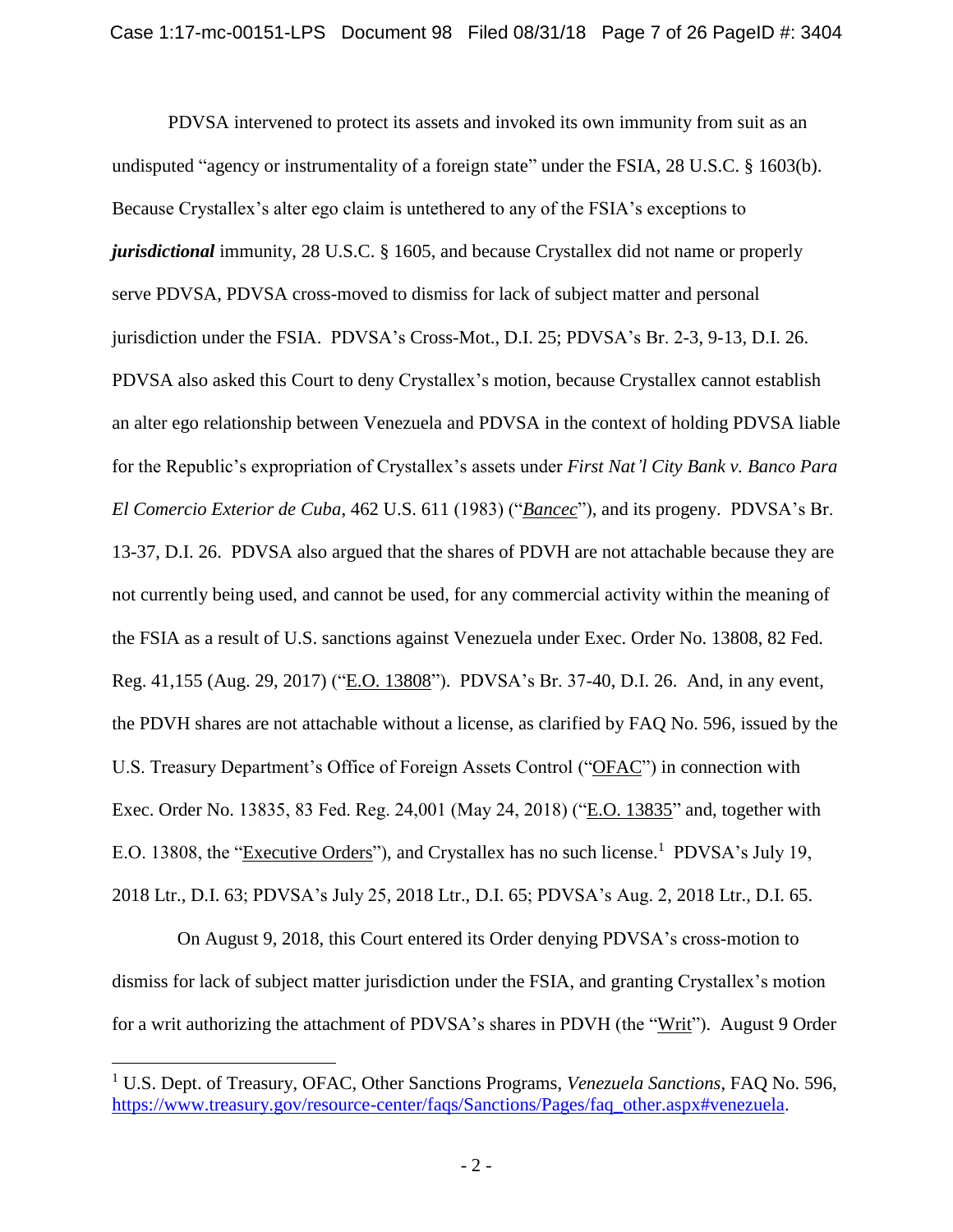PDVSA intervened to protect its assets and invoked its own immunity from suit as an undisputed "agency or instrumentality of a foreign state" under the FSIA, 28 U.S.C. § 1603(b). Because Crystallex's alter ego claim is untethered to any of the FSIA's exceptions to *jurisdictional* immunity, 28 U.S.C. § 1605, and because Crystallex did not name or properly serve PDVSA, PDVSA cross-moved to dismiss for lack of subject matter and personal jurisdiction under the FSIA. PDVSA's Cross-Mot., D.I. 25; PDVSA's Br. 2-3, 9-13, D.I. 26. PDVSA also asked this Court to deny Crystallex's motion, because Crystallex cannot establish an alter ego relationship between Venezuela and PDVSA in the context of holding PDVSA liable for the Republic's expropriation of Crystallex's assets under *First Nat'l City Bank v. Banco Para El Comercio Exterior de Cuba*, 462 U.S. 611 (1983) ("*Bancec*"), and its progeny. PDVSA's Br. 13-37, D.I. 26. PDVSA also argued that the shares of PDVH are not attachable because they are not currently being used, and cannot be used, for any commercial activity within the meaning of the FSIA as a result of U.S. sanctions against Venezuela under Exec. Order No. 13808, 82 Fed. Reg. 41,155 (Aug. 29, 2017) ("E.O. 13808"). PDVSA's Br. 37-40, D.I. 26. And, in any event, the PDVH shares are not attachable without a license, as clarified by FAQ No. 596, issued by the U.S. Treasury Department's Office of Foreign Assets Control ("OFAC") in connection with Exec. Order No. 13835, 83 Fed. Reg. 24,001 (May 24, 2018) ("E.O. 13835" and, together with E.O. 13808, the "Executive Orders"), and Crystallex has no such license.<sup>1</sup> PDVSA's July 19, 2018 Ltr., D.I. 63; PDVSA's July 25, 2018 Ltr., D.I. 65; PDVSA's Aug. 2, 2018 Ltr., D.I. 65.

 On August 9, 2018, this Court entered its Order denying PDVSA's cross-motion to dismiss for lack of subject matter jurisdiction under the FSIA, and granting Crystallex's motion for a writ authorizing the attachment of PDVSA's shares in PDVH (the "Writ"). August 9 Order

<sup>1</sup> U.S. Dept. of Treasury, OFAC, Other Sanctions Programs, *Venezuela Sanctions*, FAQ No. 596, https://www.treasury.gov/resource-center/faqs/Sanctions/Pages/faq\_other.aspx#venezuela.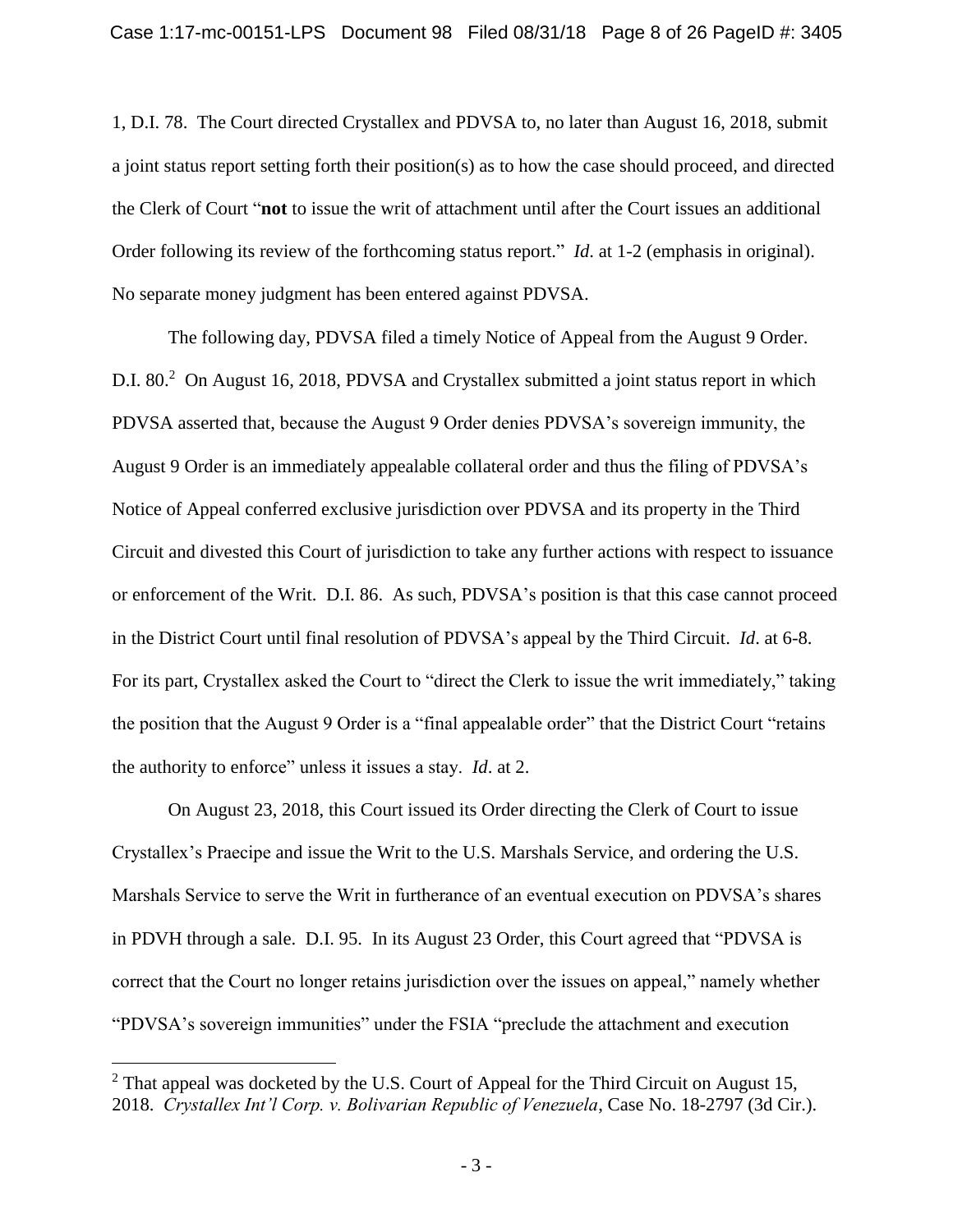1, D.I. 78. The Court directed Crystallex and PDVSA to, no later than August 16, 2018, submit a joint status report setting forth their position(s) as to how the case should proceed, and directed the Clerk of Court "**not** to issue the writ of attachment until after the Court issues an additional Order following its review of the forthcoming status report." *Id*. at 1-2 (emphasis in original). No separate money judgment has been entered against PDVSA.

The following day, PDVSA filed a timely Notice of Appeal from the August 9 Order. D.I. 80.<sup>2</sup> On August 16, 2018, PDVSA and Crystallex submitted a joint status report in which PDVSA asserted that, because the August 9 Order denies PDVSA's sovereign immunity, the August 9 Order is an immediately appealable collateral order and thus the filing of PDVSA's Notice of Appeal conferred exclusive jurisdiction over PDVSA and its property in the Third Circuit and divested this Court of jurisdiction to take any further actions with respect to issuance or enforcement of the Writ. D.I. 86. As such, PDVSA's position is that this case cannot proceed in the District Court until final resolution of PDVSA's appeal by the Third Circuit. *Id*. at 6-8. For its part, Crystallex asked the Court to "direct the Clerk to issue the writ immediately," taking the position that the August 9 Order is a "final appealable order" that the District Court "retains the authority to enforce" unless it issues a stay. *Id*. at 2.

On August 23, 2018, this Court issued its Order directing the Clerk of Court to issue Crystallex's Praecipe and issue the Writ to the U.S. Marshals Service, and ordering the U.S. Marshals Service to serve the Writ in furtherance of an eventual execution on PDVSA's shares in PDVH through a sale. D.I. 95. In its August 23 Order, this Court agreed that "PDVSA is correct that the Court no longer retains jurisdiction over the issues on appeal," namely whether "PDVSA's sovereign immunities" under the FSIA "preclude the attachment and execution

 $2$  That appeal was docketed by the U.S. Court of Appeal for the Third Circuit on August 15, 2018. *Crystallex Int'l Corp. v. Bolivarian Republic of Venezuela*, Case No. 18-2797 (3d Cir.).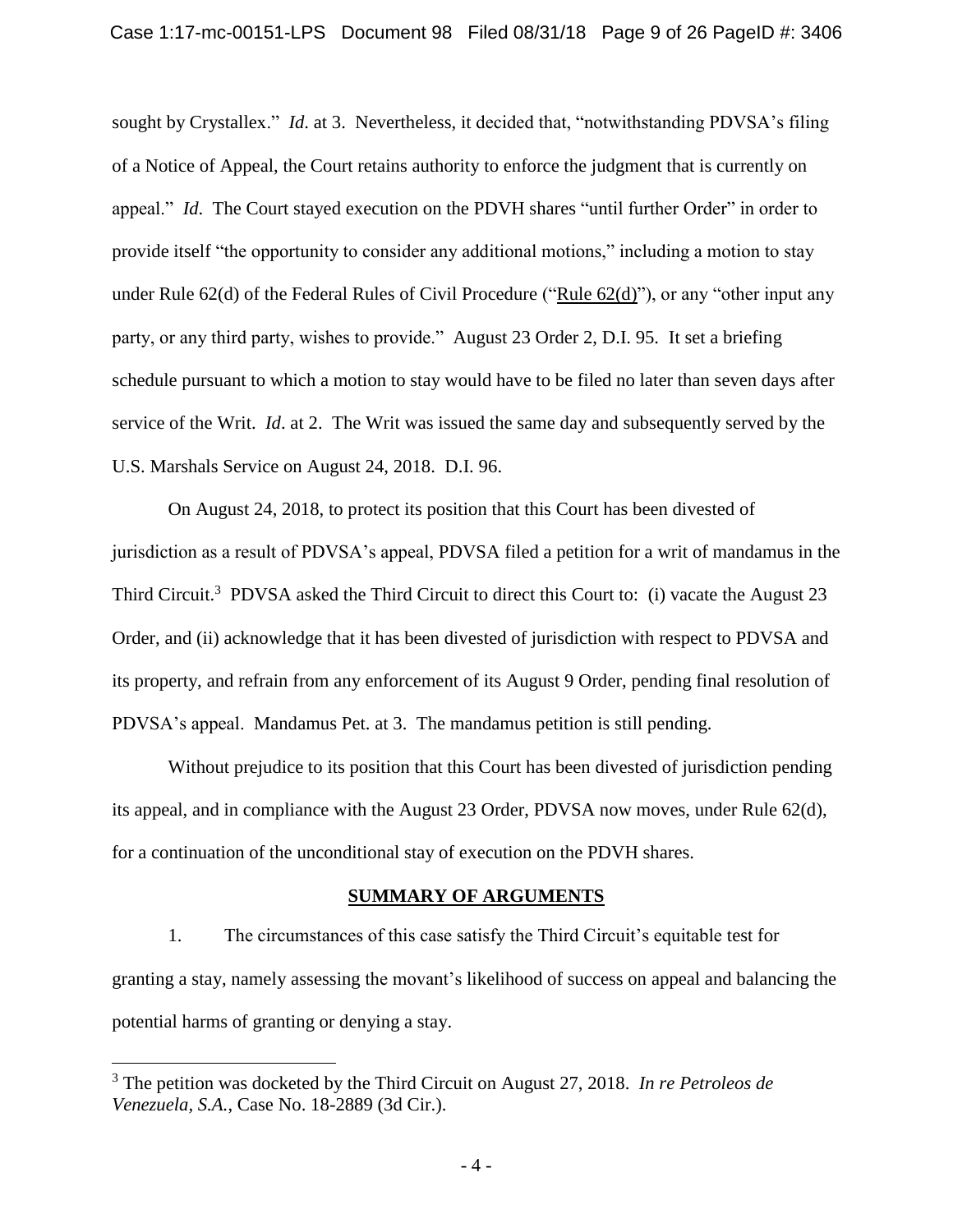sought by Crystallex." *Id*. at 3. Nevertheless, it decided that, "notwithstanding PDVSA's filing of a Notice of Appeal, the Court retains authority to enforce the judgment that is currently on appeal." *Id*. The Court stayed execution on the PDVH shares "until further Order" in order to provide itself "the opportunity to consider any additional motions," including a motion to stay under Rule 62(d) of the Federal Rules of Civil Procedure ("Rule 62(d)"), or any "other input any party, or any third party, wishes to provide." August 23 Order 2, D.I. 95. It set a briefing schedule pursuant to which a motion to stay would have to be filed no later than seven days after service of the Writ. *Id*. at 2. The Writ was issued the same day and subsequently served by the U.S. Marshals Service on August 24, 2018. D.I. 96.

On August 24, 2018, to protect its position that this Court has been divested of jurisdiction as a result of PDVSA's appeal, PDVSA filed a petition for a writ of mandamus in the Third Circuit.<sup>3</sup> PDVSA asked the Third Circuit to direct this Court to: (i) vacate the August 23 Order, and (ii) acknowledge that it has been divested of jurisdiction with respect to PDVSA and its property, and refrain from any enforcement of its August 9 Order, pending final resolution of PDVSA's appeal. Mandamus Pet. at 3. The mandamus petition is still pending.

Without prejudice to its position that this Court has been divested of jurisdiction pending its appeal, and in compliance with the August 23 Order, PDVSA now moves, under Rule 62(d), for a continuation of the unconditional stay of execution on the PDVH shares.

#### **SUMMARY OF ARGUMENTS**

1. The circumstances of this case satisfy the Third Circuit's equitable test for granting a stay, namely assessing the movant's likelihood of success on appeal and balancing the potential harms of granting or denying a stay.

<sup>3</sup> The petition was docketed by the Third Circuit on August 27, 2018. *In re Petroleos de Venezuela, S.A.*, Case No. 18-2889 (3d Cir.).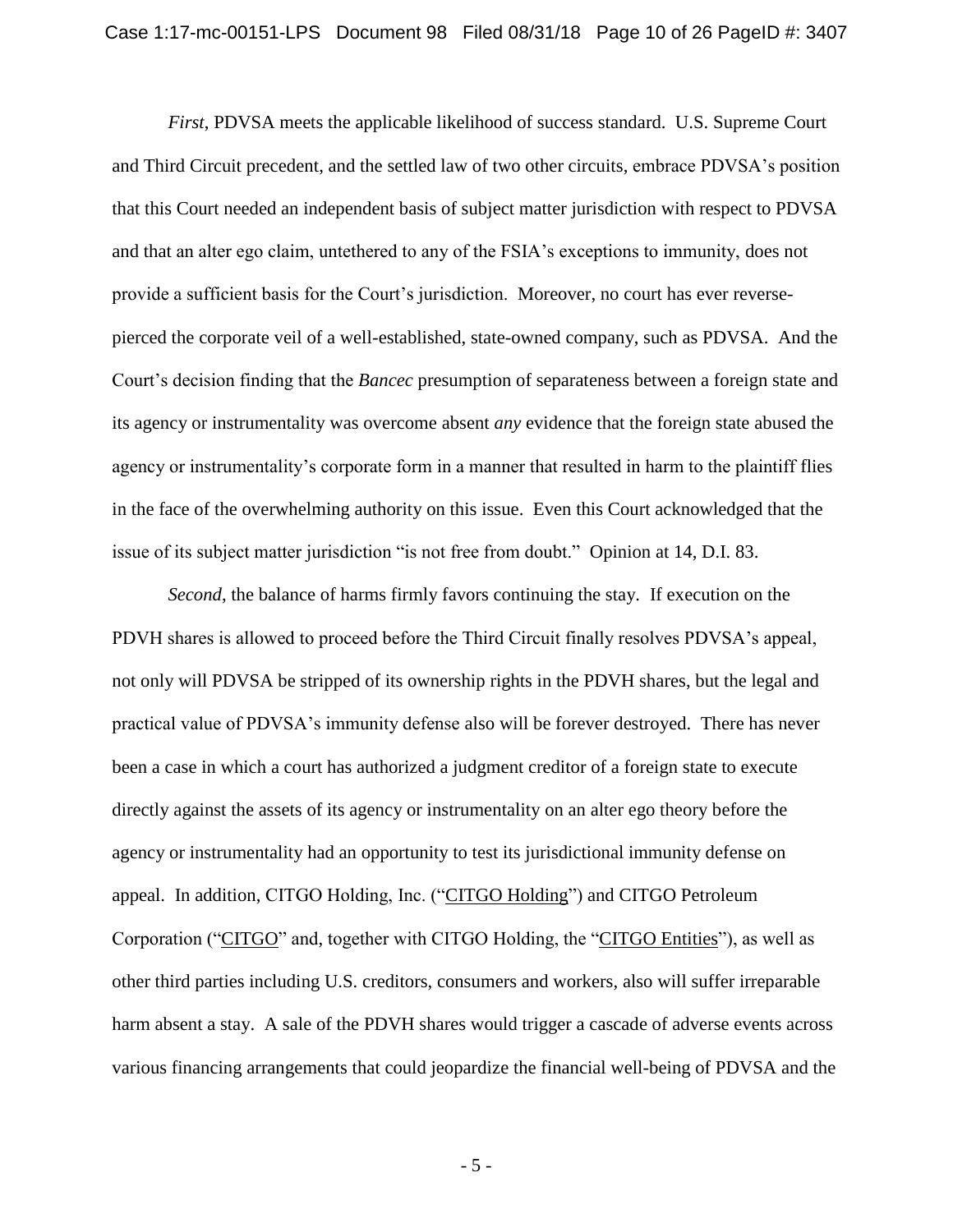*First*, PDVSA meets the applicable likelihood of success standard. U.S. Supreme Court and Third Circuit precedent, and the settled law of two other circuits, embrace PDVSA's position that this Court needed an independent basis of subject matter jurisdiction with respect to PDVSA and that an alter ego claim, untethered to any of the FSIA's exceptions to immunity, does not provide a sufficient basis for the Court's jurisdiction. Moreover, no court has ever reversepierced the corporate veil of a well-established, state-owned company, such as PDVSA. And the Court's decision finding that the *Bancec* presumption of separateness between a foreign state and its agency or instrumentality was overcome absent *any* evidence that the foreign state abused the agency or instrumentality's corporate form in a manner that resulted in harm to the plaintiff flies in the face of the overwhelming authority on this issue. Even this Court acknowledged that the issue of its subject matter jurisdiction "is not free from doubt." Opinion at 14, D.I. 83.

*Second*, the balance of harms firmly favors continuing the stay. If execution on the PDVH shares is allowed to proceed before the Third Circuit finally resolves PDVSA's appeal, not only will PDVSA be stripped of its ownership rights in the PDVH shares, but the legal and practical value of PDVSA's immunity defense also will be forever destroyed. There has never been a case in which a court has authorized a judgment creditor of a foreign state to execute directly against the assets of its agency or instrumentality on an alter ego theory before the agency or instrumentality had an opportunity to test its jurisdictional immunity defense on appeal. In addition, CITGO Holding, Inc. ("CITGO Holding") and CITGO Petroleum Corporation ("CITGO" and, together with CITGO Holding, the "CITGO Entities"), as well as other third parties including U.S. creditors, consumers and workers, also will suffer irreparable harm absent a stay. A sale of the PDVH shares would trigger a cascade of adverse events across various financing arrangements that could jeopardize the financial well-being of PDVSA and the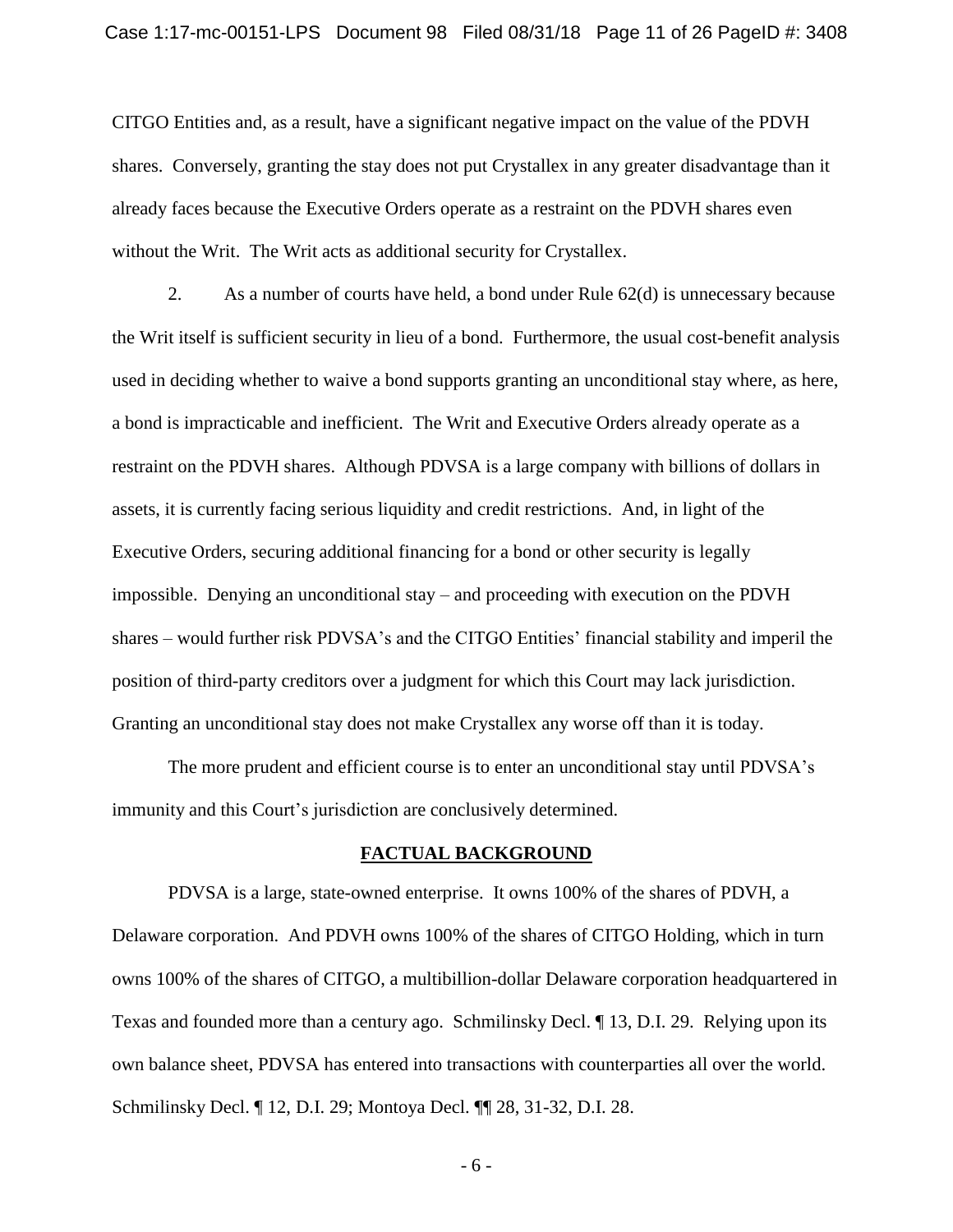CITGO Entities and, as a result, have a significant negative impact on the value of the PDVH shares. Conversely, granting the stay does not put Crystallex in any greater disadvantage than it already faces because the Executive Orders operate as a restraint on the PDVH shares even without the Writ. The Writ acts as additional security for Crystallex.

2. As a number of courts have held, a bond under Rule 62(d) is unnecessary because the Writ itself is sufficient security in lieu of a bond. Furthermore, the usual cost-benefit analysis used in deciding whether to waive a bond supports granting an unconditional stay where, as here, a bond is impracticable and inefficient. The Writ and Executive Orders already operate as a restraint on the PDVH shares. Although PDVSA is a large company with billions of dollars in assets, it is currently facing serious liquidity and credit restrictions. And, in light of the Executive Orders, securing additional financing for a bond or other security is legally impossible. Denying an unconditional stay – and proceeding with execution on the PDVH shares – would further risk PDVSA's and the CITGO Entities' financial stability and imperil the position of third-party creditors over a judgment for which this Court may lack jurisdiction. Granting an unconditional stay does not make Crystallex any worse off than it is today.

The more prudent and efficient course is to enter an unconditional stay until PDVSA's immunity and this Court's jurisdiction are conclusively determined.

#### **FACTUAL BACKGROUND**

PDVSA is a large, state-owned enterprise. It owns 100% of the shares of PDVH, a Delaware corporation. And PDVH owns 100% of the shares of CITGO Holding, which in turn owns 100% of the shares of CITGO, a multibillion-dollar Delaware corporation headquartered in Texas and founded more than a century ago. Schmilinsky Decl. ¶ 13, D.I. 29. Relying upon its own balance sheet, PDVSA has entered into transactions with counterparties all over the world. Schmilinsky Decl. ¶ 12, D.I. 29; Montoya Decl. ¶¶ 28, 31-32, D.I. 28.

- 6 -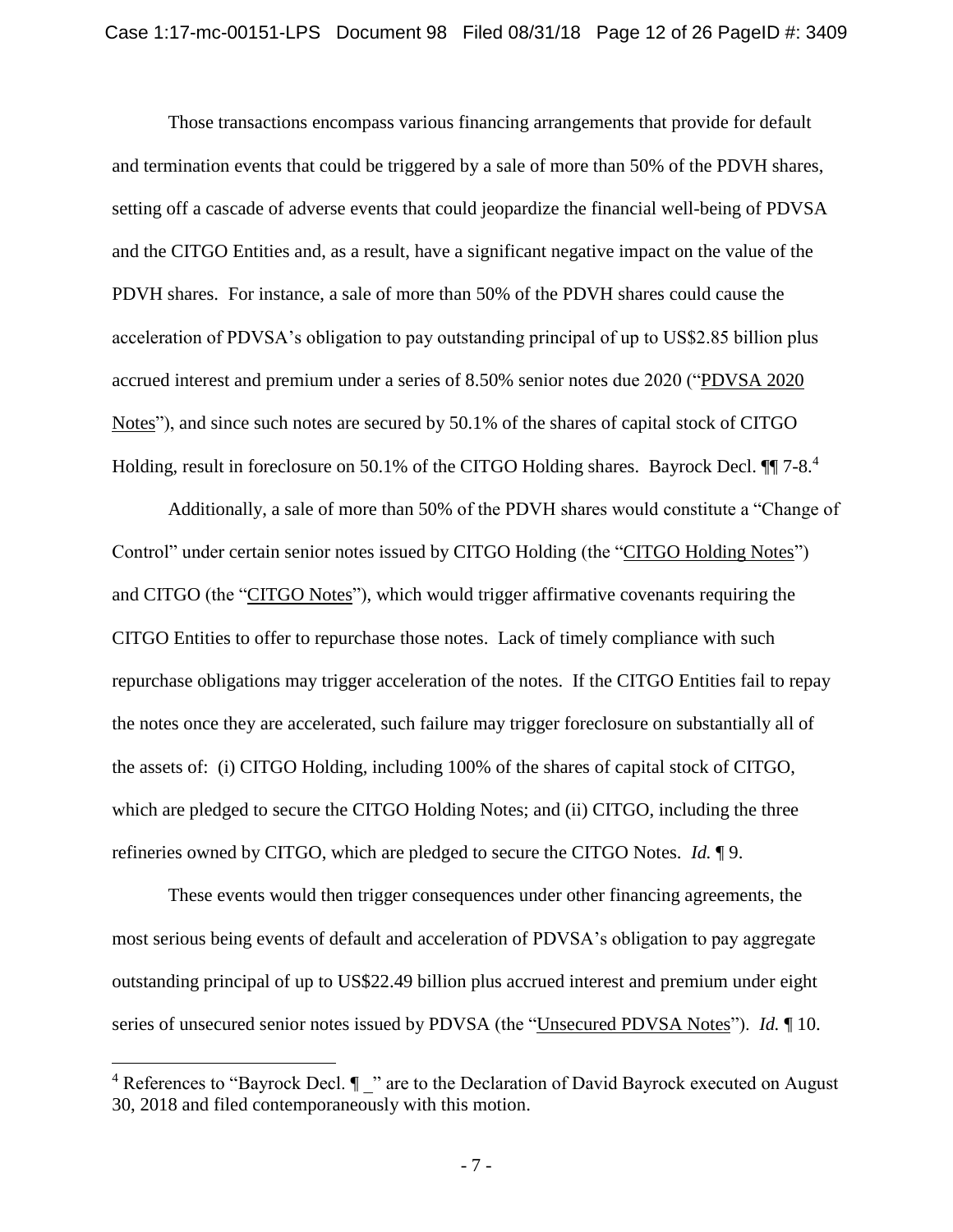Those transactions encompass various financing arrangements that provide for default and termination events that could be triggered by a sale of more than 50% of the PDVH shares, setting off a cascade of adverse events that could jeopardize the financial well-being of PDVSA and the CITGO Entities and, as a result, have a significant negative impact on the value of the PDVH shares. For instance, a sale of more than 50% of the PDVH shares could cause the acceleration of PDVSA's obligation to pay outstanding principal of up to US\$2.85 billion plus accrued interest and premium under a series of 8.50% senior notes due 2020 ("PDVSA 2020 Notes"), and since such notes are secured by 50.1% of the shares of capital stock of CITGO Holding, result in foreclosure on 50.1% of the CITGO Holding shares. Bayrock Decl.  $\P\P$  7-8.<sup>4</sup>

Additionally, a sale of more than 50% of the PDVH shares would constitute a "Change of Control" under certain senior notes issued by CITGO Holding (the "CITGO Holding Notes") and CITGO (the "CITGO Notes"), which would trigger affirmative covenants requiring the CITGO Entities to offer to repurchase those notes. Lack of timely compliance with such repurchase obligations may trigger acceleration of the notes. If the CITGO Entities fail to repay the notes once they are accelerated, such failure may trigger foreclosure on substantially all of the assets of: (i) CITGO Holding, including 100% of the shares of capital stock of CITGO, which are pledged to secure the CITGO Holding Notes; and (ii) CITGO, including the three refineries owned by CITGO, which are pledged to secure the CITGO Notes. *Id.* ¶ 9.

These events would then trigger consequences under other financing agreements, the most serious being events of default and acceleration of PDVSA's obligation to pay aggregate outstanding principal of up to US\$22.49 billion plus accrued interest and premium under eight series of unsecured senior notes issued by PDVSA (the "Unsecured PDVSA Notes"). *Id.* ¶ 10.

<sup>&</sup>lt;sup>4</sup> References to "Bayrock Decl.  $\P$  " are to the Declaration of David Bayrock executed on August 30, 2018 and filed contemporaneously with this motion.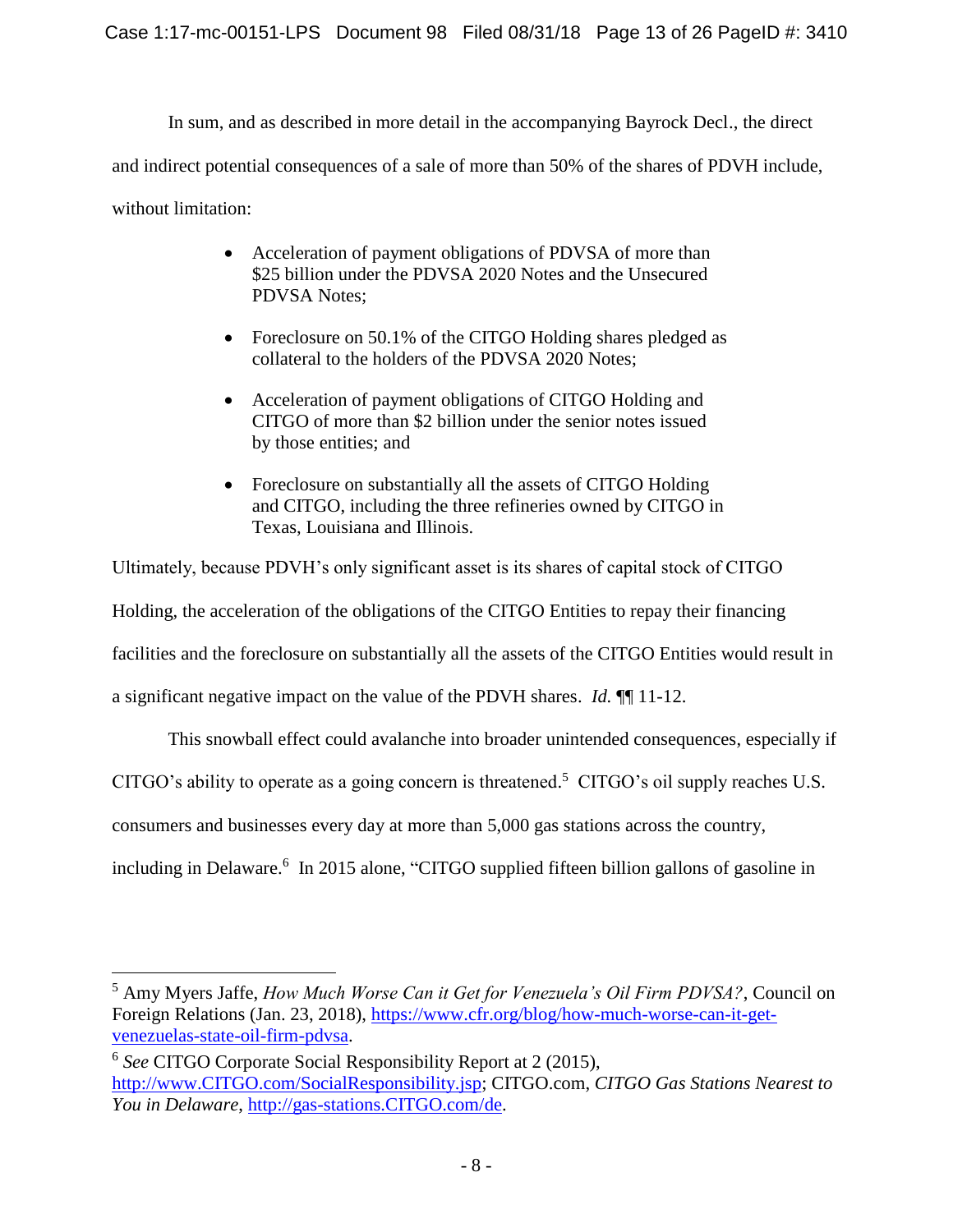In sum, and as described in more detail in the accompanying Bayrock Decl., the direct and indirect potential consequences of a sale of more than 50% of the shares of PDVH include, without limitation:

- Acceleration of payment obligations of PDVSA of more than \$25 billion under the PDVSA 2020 Notes and the Unsecured PDVSA Notes;
- Foreclosure on 50.1% of the CITGO Holding shares pledged as collateral to the holders of the PDVSA 2020 Notes;
- Acceleration of payment obligations of CITGO Holding and CITGO of more than \$2 billion under the senior notes issued by those entities; and
- Foreclosure on substantially all the assets of CITGO Holding and CITGO, including the three refineries owned by CITGO in Texas, Louisiana and Illinois.

Ultimately, because PDVH's only significant asset is its shares of capital stock of CITGO Holding, the acceleration of the obligations of the CITGO Entities to repay their financing facilities and the foreclosure on substantially all the assets of the CITGO Entities would result in a significant negative impact on the value of the PDVH shares. *Id.* ¶¶ 11-12.

This snowball effect could avalanche into broader unintended consequences, especially if

CITGO's ability to operate as a going concern is threatened.<sup>5</sup> CITGO's oil supply reaches U.S.

consumers and businesses every day at more than 5,000 gas stations across the country,

 $\overline{a}$ 

including in Delaware. 6 In 2015 alone, "CITGO supplied fifteen billion gallons of gasoline in

<sup>5</sup> Amy Myers Jaffe, *How Much Worse Can it Get for Venezuela's Oil Firm PDVSA?*, Council on Foreign Relations (Jan. 23, 2018), https://www.cfr.org/blog/how-much-worse-can-it-getvenezuelas-state-oil-firm-pdvsa.

<sup>6</sup> *See* CITGO Corporate Social Responsibility Report at 2 (2015), http://www.CITGO.com/SocialResponsibility.jsp; CITGO.com, *CITGO Gas Stations Nearest to You in Delaware*, http://gas-stations.CITGO.com/de.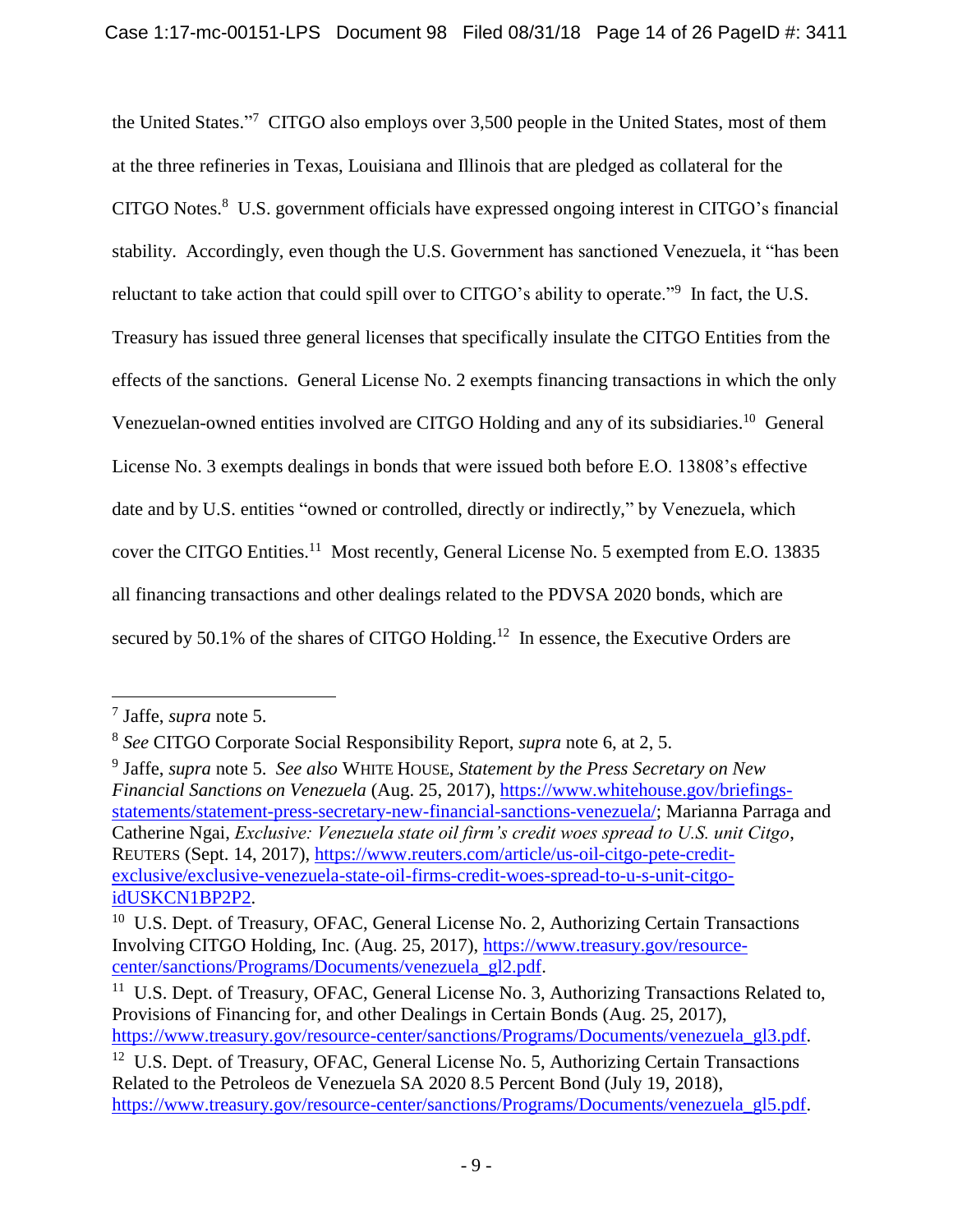the United States."<sup>7</sup> CITGO also employs over 3,500 people in the United States, most of them at the three refineries in Texas, Louisiana and Illinois that are pledged as collateral for the CITGO Notes. 8 U.S. government officials have expressed ongoing interest in CITGO's financial stability. Accordingly, even though the U.S. Government has sanctioned Venezuela, it "has been reluctant to take action that could spill over to CITGO's ability to operate."<sup>9</sup> In fact, the U.S. Treasury has issued three general licenses that specifically insulate the CITGO Entities from the effects of the sanctions. General License No. 2 exempts financing transactions in which the only Venezuelan-owned entities involved are CITGO Holding and any of its subsidiaries.<sup>10</sup> General License No. 3 exempts dealings in bonds that were issued both before E.O. 13808's effective date and by U.S. entities "owned or controlled, directly or indirectly," by Venezuela, which cover the CITGO Entities.<sup>11</sup> Most recently, General License No. 5 exempted from E.O. 13835 all financing transactions and other dealings related to the PDVSA 2020 bonds, which are secured by 50.1% of the shares of CITGO Holding.<sup>12</sup> In essence, the Executive Orders are

<sup>7</sup> Jaffe, *supra* note 5.

<sup>8</sup> *See* CITGO Corporate Social Responsibility Report, *supra* note 6, at 2, 5.

<sup>9</sup> Jaffe, *supra* note 5. *See also* WHITE HOUSE, *Statement by the Press Secretary on New Financial Sanctions on Venezuela* (Aug. 25, 2017), https://www.whitehouse.gov/briefingsstatements/statement-press-secretary-new-financial-sanctions-venezuela/; Marianna Parraga and Catherine Ngai, *Exclusive: Venezuela state oil firm's credit woes spread to U.S. unit Citgo*, REUTERS (Sept. 14, 2017), https://www.reuters.com/article/us-oil-citgo-pete-creditexclusive/exclusive-venezuela-state-oil-firms-credit-woes-spread-to-u-s-unit-citgoidUSKCN1BP2P2.

<sup>&</sup>lt;sup>10</sup> U.S. Dept. of Treasury, OFAC, General License No. 2, Authorizing Certain Transactions Involving CITGO Holding, Inc. (Aug. 25, 2017), https://www.treasury.gov/resourcecenter/sanctions/Programs/Documents/venezuela\_gl2.pdf.

<sup>&</sup>lt;sup>11</sup> U.S. Dept. of Treasury, OFAC, General License No. 3, Authorizing Transactions Related to, Provisions of Financing for, and other Dealings in Certain Bonds (Aug. 25, 2017), https://www.treasury.gov/resource-center/sanctions/Programs/Documents/venezuela\_gl3.pdf.

<sup>&</sup>lt;sup>12</sup> U.S. Dept. of Treasury, OFAC, General License No. 5, Authorizing Certain Transactions Related to the Petroleos de Venezuela SA 2020 8.5 Percent Bond (July 19, 2018), https://www.treasury.gov/resource-center/sanctions/Programs/Documents/venezuela\_gl5.pdf.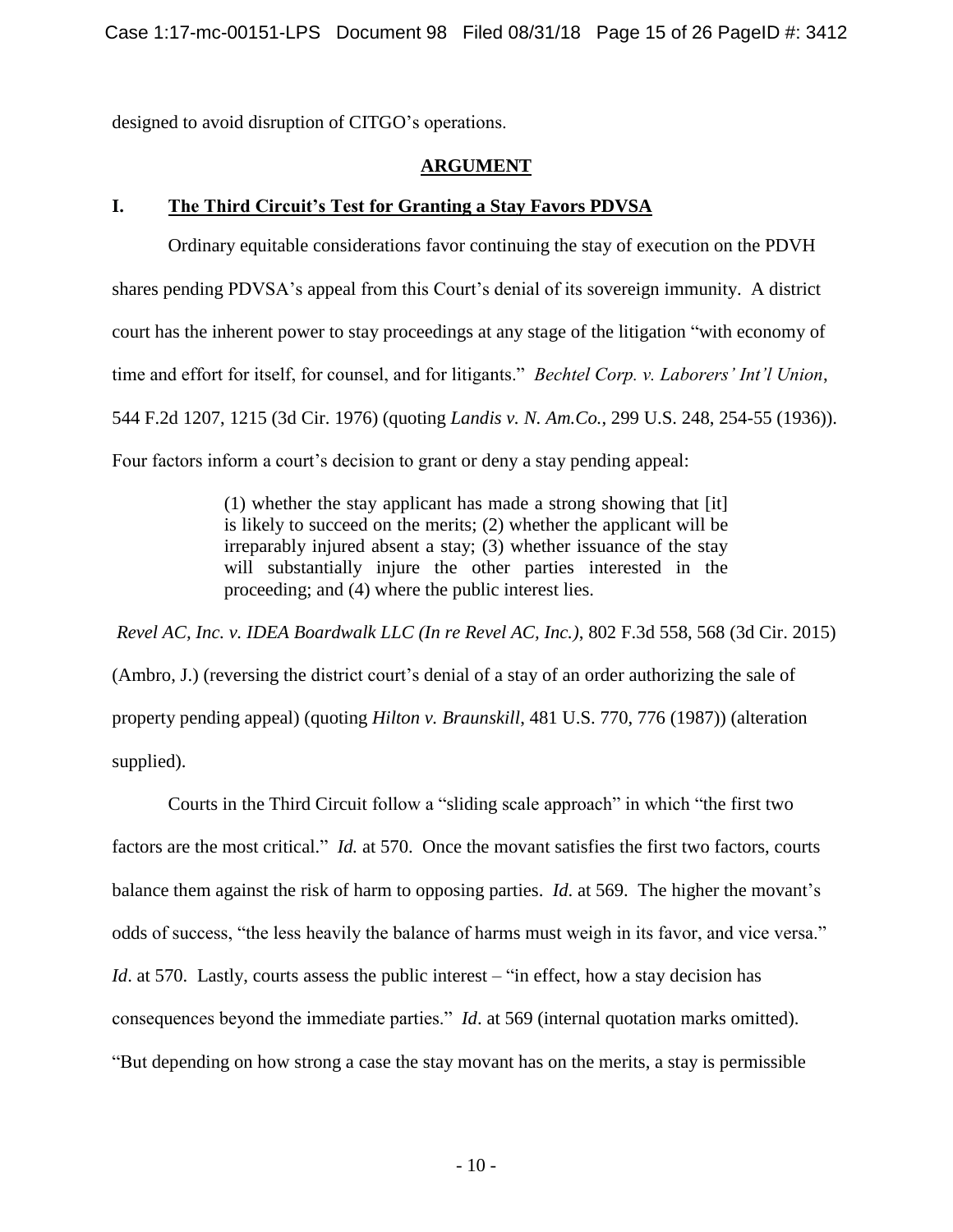designed to avoid disruption of CITGO's operations.

### **ARGUMENT**

### **I. The Third Circuit's Test for Granting a Stay Favors PDVSA**

Ordinary equitable considerations favor continuing the stay of execution on the PDVH shares pending PDVSA's appeal from this Court's denial of its sovereign immunity. A district court has the inherent power to stay proceedings at any stage of the litigation "with economy of time and effort for itself, for counsel, and for litigants." *Bechtel Corp. v. Laborers' Int'l Union*, 544 F.2d 1207, 1215 (3d Cir. 1976) (quoting *Landis v. N. Am.Co.*, 299 U.S. 248, 254-55 (1936)). Four factors inform a court's decision to grant or deny a stay pending appeal:

> (1) whether the stay applicant has made a strong showing that [it] is likely to succeed on the merits; (2) whether the applicant will be irreparably injured absent a stay; (3) whether issuance of the stay will substantially injure the other parties interested in the proceeding; and (4) where the public interest lies.

*Revel AC, Inc. v. IDEA Boardwalk LLC (In re Revel AC, Inc.)*, 802 F.3d 558, 568 (3d Cir. 2015) (Ambro, J.) (reversing the district court's denial of a stay of an order authorizing the sale of property pending appeal) (quoting *Hilton v. Braunskill*, 481 U.S. 770, 776 (1987)) (alteration supplied).

Courts in the Third Circuit follow a "sliding scale approach" in which "the first two factors are the most critical." *Id.* at 570. Once the movant satisfies the first two factors, courts balance them against the risk of harm to opposing parties. *Id*. at 569. The higher the movant's odds of success, "the less heavily the balance of harms must weigh in its favor, and vice versa." *Id.* at 570. Lastly, courts assess the public interest – "in effect, how a stay decision has consequences beyond the immediate parties." *Id*. at 569 (internal quotation marks omitted). "But depending on how strong a case the stay movant has on the merits, a stay is permissible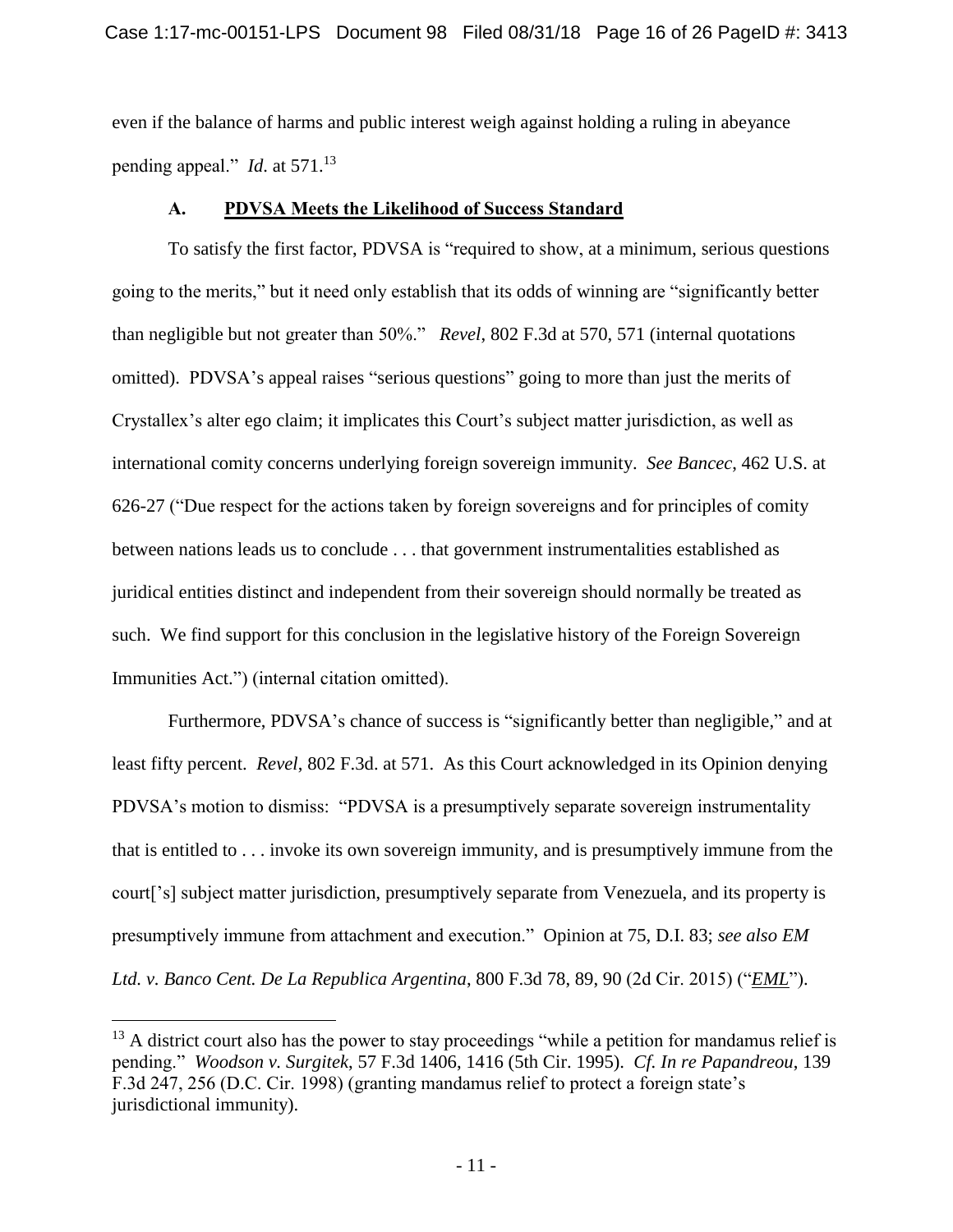even if the balance of harms and public interest weigh against holding a ruling in abeyance pending appeal." *Id*. at 571.<sup>13</sup>

#### **A. PDVSA Meets the Likelihood of Success Standard**

To satisfy the first factor, PDVSA is "required to show, at a minimum, serious questions going to the merits," but it need only establish that its odds of winning are "significantly better than negligible but not greater than 50%." *Revel*, 802 F.3d at 570, 571 (internal quotations omitted). PDVSA's appeal raises "serious questions" going to more than just the merits of Crystallex's alter ego claim; it implicates this Court's subject matter jurisdiction, as well as international comity concerns underlying foreign sovereign immunity. *See Bancec*, 462 U.S. at 626-27 ("Due respect for the actions taken by foreign sovereigns and for principles of comity between nations leads us to conclude . . . that government instrumentalities established as juridical entities distinct and independent from their sovereign should normally be treated as such. We find support for this conclusion in the legislative history of the Foreign Sovereign Immunities Act.") (internal citation omitted).

Furthermore, PDVSA's chance of success is "significantly better than negligible," and at least fifty percent. *Revel*, 802 F.3d. at 571. As this Court acknowledged in its Opinion denying PDVSA's motion to dismiss: "PDVSA is a presumptively separate sovereign instrumentality that is entitled to . . . invoke its own sovereign immunity, and is presumptively immune from the court['s] subject matter jurisdiction, presumptively separate from Venezuela, and its property is presumptively immune from attachment and execution." Opinion at 75, D.I. 83; *see also EM Ltd. v. Banco Cent. De La Republica Argentina*, 800 F.3d 78, 89, 90 (2d Cir. 2015) ("*EML*").

 $13$  A district court also has the power to stay proceedings "while a petition for mandamus relief is pending." *Woodson v. Surgitek*, 57 F.3d 1406, 1416 (5th Cir. 1995). *Cf. In re Papandreou*, 139 F.3d 247, 256 (D.C. Cir. 1998) (granting mandamus relief to protect a foreign state's jurisdictional immunity).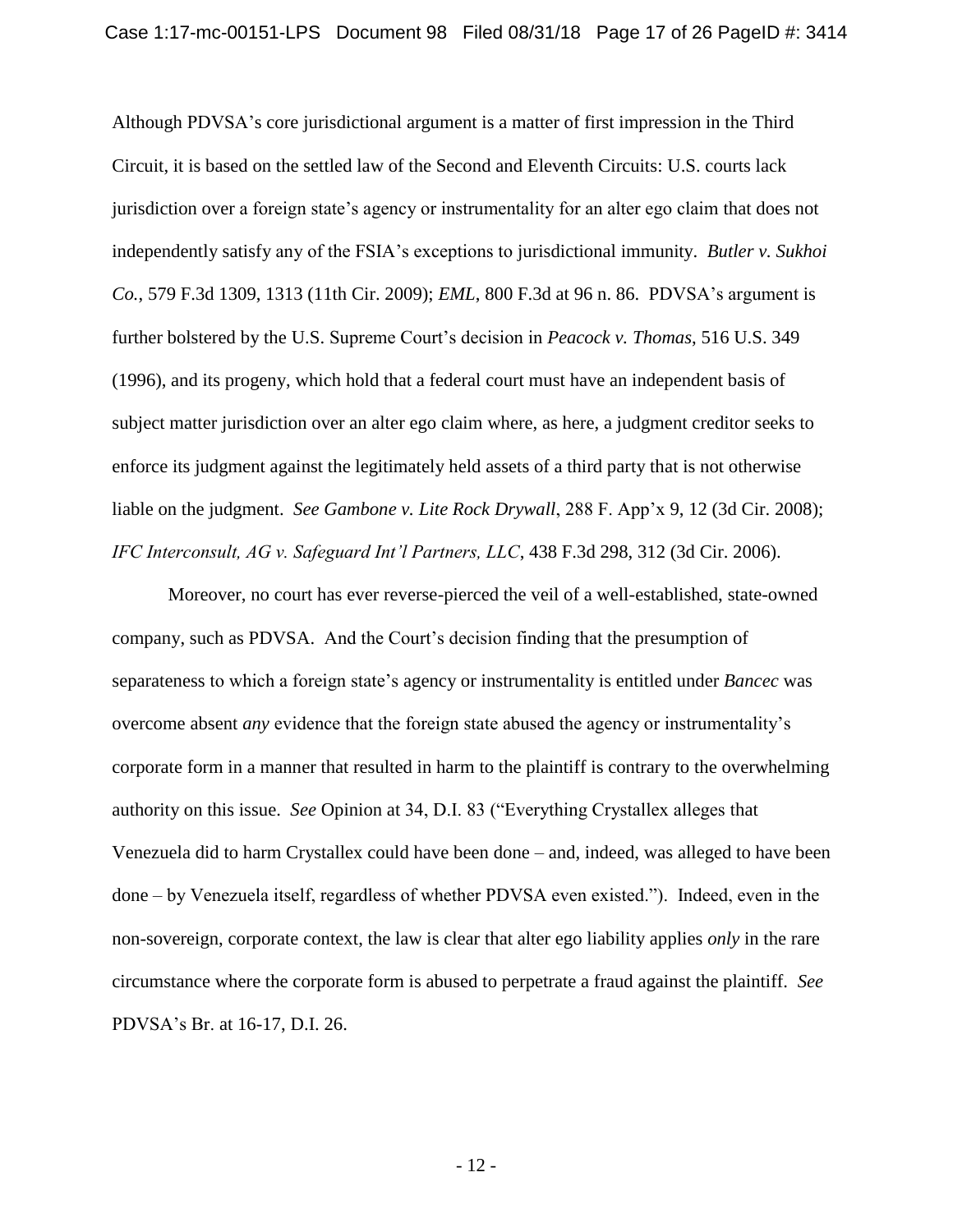Although PDVSA's core jurisdictional argument is a matter of first impression in the Third Circuit, it is based on the settled law of the Second and Eleventh Circuits: U.S. courts lack jurisdiction over a foreign state's agency or instrumentality for an alter ego claim that does not independently satisfy any of the FSIA's exceptions to jurisdictional immunity. *Butler v. Sukhoi Co.*, 579 F.3d 1309, 1313 (11th Cir. 2009); *EML*, 800 F.3d at 96 n. 86. PDVSA's argument is further bolstered by the U.S. Supreme Court's decision in *Peacock v. Thomas*, 516 U.S. 349 (1996), and its progeny, which hold that a federal court must have an independent basis of subject matter jurisdiction over an alter ego claim where, as here, a judgment creditor seeks to enforce its judgment against the legitimately held assets of a third party that is not otherwise liable on the judgment. *See Gambone v. Lite Rock Drywall*, 288 F. App'x 9, 12 (3d Cir. 2008); *IFC Interconsult, AG v. Safeguard Int'l Partners, LLC*, 438 F.3d 298, 312 (3d Cir. 2006).

Moreover, no court has ever reverse-pierced the veil of a well-established, state-owned company, such as PDVSA. And the Court's decision finding that the presumption of separateness to which a foreign state's agency or instrumentality is entitled under *Bancec* was overcome absent *any* evidence that the foreign state abused the agency or instrumentality's corporate form in a manner that resulted in harm to the plaintiff is contrary to the overwhelming authority on this issue. *See* Opinion at 34, D.I. 83 ("Everything Crystallex alleges that Venezuela did to harm Crystallex could have been done – and, indeed, was alleged to have been done – by Venezuela itself, regardless of whether PDVSA even existed."). Indeed, even in the non-sovereign, corporate context, the law is clear that alter ego liability applies *only* in the rare circumstance where the corporate form is abused to perpetrate a fraud against the plaintiff. *See* PDVSA's Br. at 16-17, D.I. 26.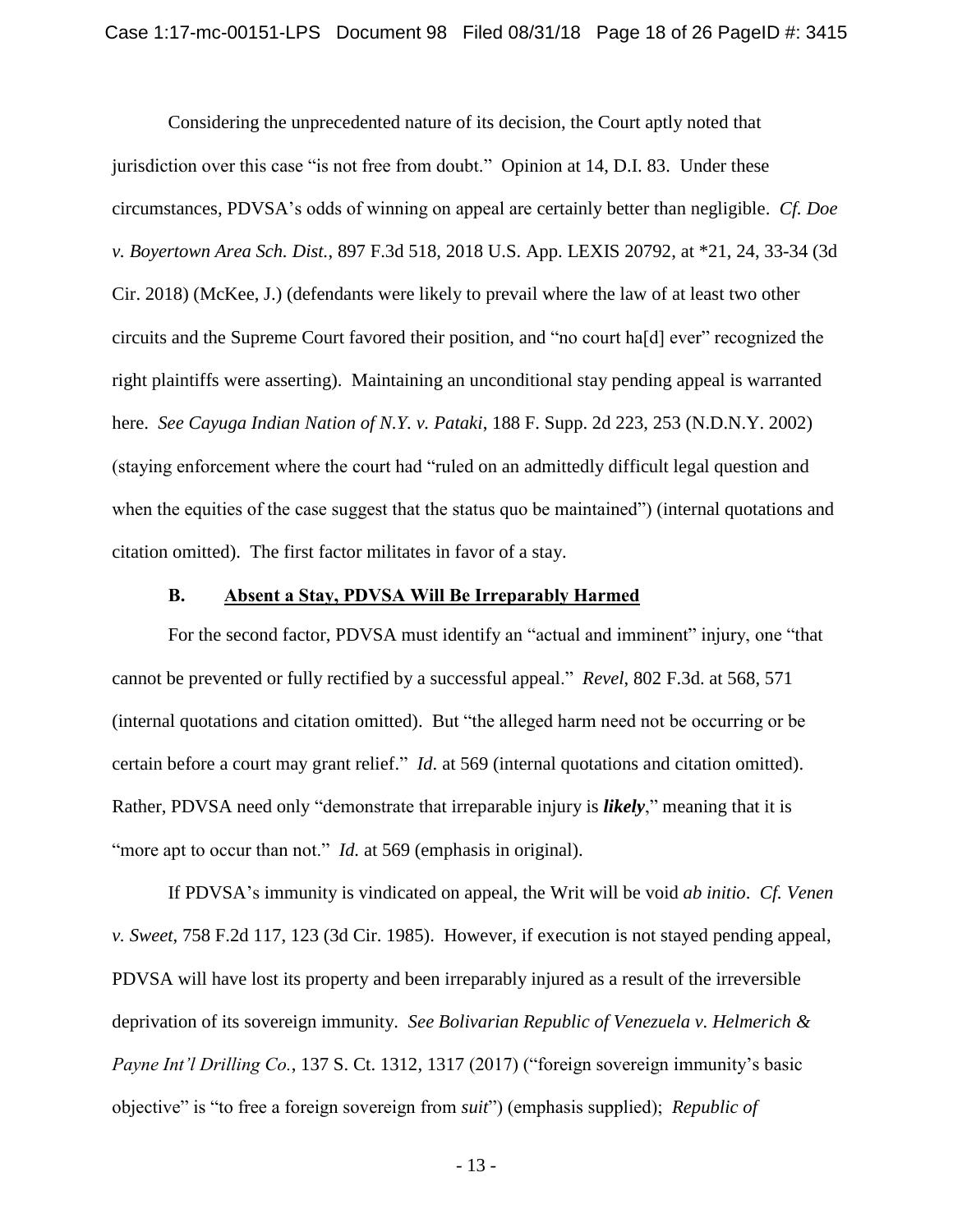Considering the unprecedented nature of its decision, the Court aptly noted that jurisdiction over this case "is not free from doubt." Opinion at 14, D.I. 83. Under these circumstances, PDVSA's odds of winning on appeal are certainly better than negligible. *Cf. Doe v. Boyertown Area Sch. Dist.*, 897 F.3d 518, 2018 U.S. App. LEXIS 20792, at \*21, 24, 33-34 (3d Cir. 2018) (McKee, J.) (defendants were likely to prevail where the law of at least two other circuits and the Supreme Court favored their position, and "no court ha[d] ever" recognized the right plaintiffs were asserting). Maintaining an unconditional stay pending appeal is warranted here. *See Cayuga Indian Nation of N.Y. v. Pataki*, 188 F. Supp. 2d 223, 253 (N.D.N.Y. 2002) (staying enforcement where the court had "ruled on an admittedly difficult legal question and when the equities of the case suggest that the status quo be maintained") (internal quotations and citation omitted). The first factor militates in favor of a stay.

#### **B. Absent a Stay, PDVSA Will Be Irreparably Harmed**

For the second factor, PDVSA must identify an "actual and imminent" injury, one "that cannot be prevented or fully rectified by a successful appeal." *Revel*, 802 F.3d. at 568, 571 (internal quotations and citation omitted). But "the alleged harm need not be occurring or be certain before a court may grant relief." *Id*. at 569 (internal quotations and citation omitted). Rather, PDVSA need only "demonstrate that irreparable injury is *likely*," meaning that it is "more apt to occur than not." *Id.* at 569 (emphasis in original).

If PDVSA's immunity is vindicated on appeal, the Writ will be void *ab initio*. *Cf. Venen v. Sweet*, 758 F.2d 117, 123 (3d Cir. 1985). However, if execution is not stayed pending appeal, PDVSA will have lost its property and been irreparably injured as a result of the irreversible deprivation of its sovereign immunity. *See Bolivarian Republic of Venezuela v. Helmerich & Payne Int'l Drilling Co.*, 137 S. Ct. 1312, 1317 (2017) ("foreign sovereign immunity's basic objective" is "to free a foreign sovereign from *suit*") (emphasis supplied); *Republic of*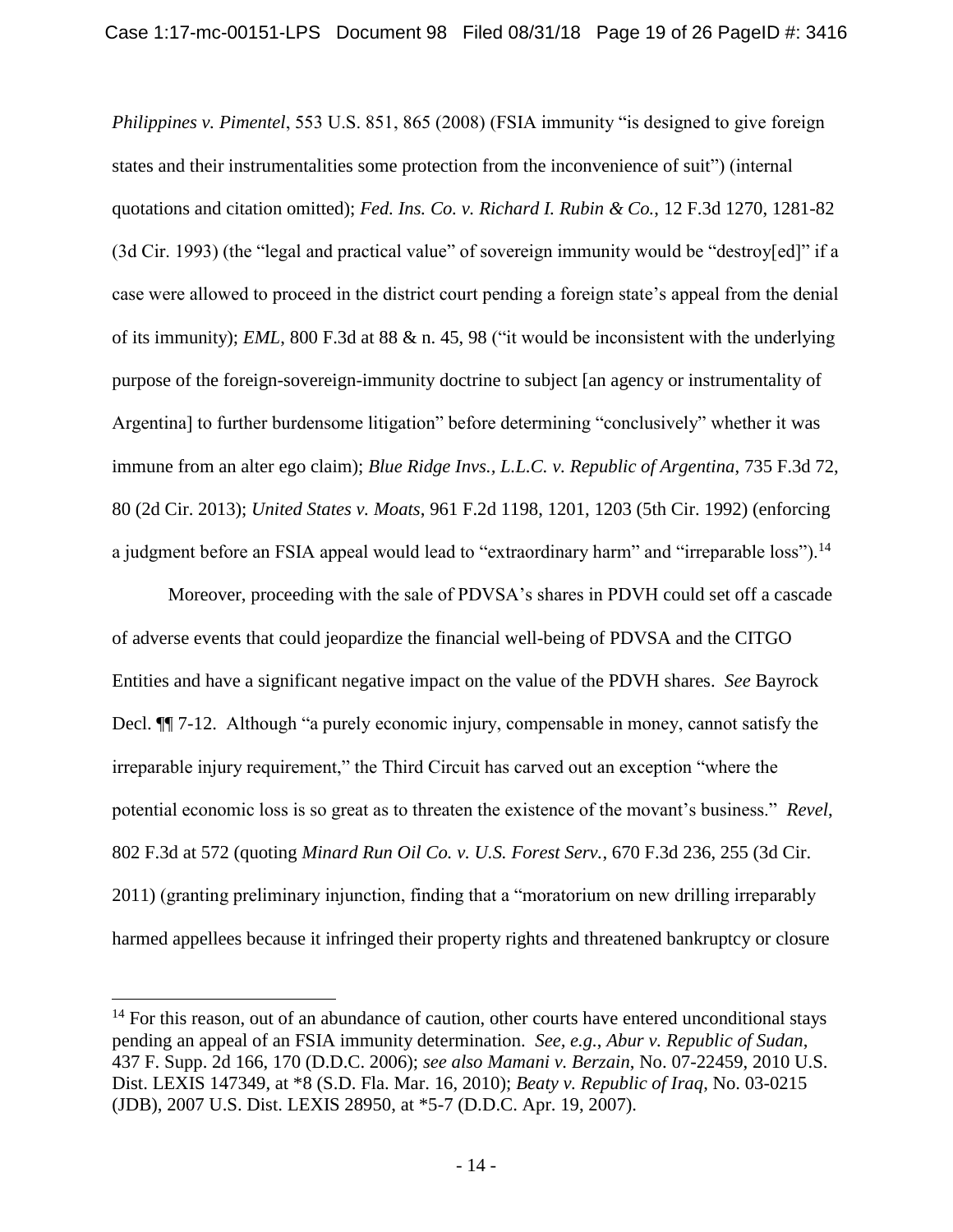*Philippines v. Pimentel*, 553 U.S. 851, 865 (2008) (FSIA immunity "is designed to give foreign states and their instrumentalities some protection from the inconvenience of suit") (internal quotations and citation omitted); *Fed. Ins. Co. v. Richard I. Rubin & Co.*, 12 F.3d 1270, 1281-82 (3d Cir. 1993) (the "legal and practical value" of sovereign immunity would be "destroy[ed]" if a case were allowed to proceed in the district court pending a foreign state's appeal from the denial of its immunity); *EML*, 800 F.3d at 88 & n. 45, 98 ("it would be inconsistent with the underlying purpose of the foreign-sovereign-immunity doctrine to subject [an agency or instrumentality of Argentina] to further burdensome litigation" before determining "conclusively" whether it was immune from an alter ego claim); *Blue Ridge Invs., L.L.C. v. Republic of Argentina*, 735 F.3d 72, 80 (2d Cir. 2013); *United States v. Moats*, 961 F.2d 1198, 1201, 1203 (5th Cir. 1992) (enforcing a judgment before an FSIA appeal would lead to "extraordinary harm" and "irreparable loss").<sup>14</sup>

Moreover, proceeding with the sale of PDVSA's shares in PDVH could set off a cascade of adverse events that could jeopardize the financial well-being of PDVSA and the CITGO Entities and have a significant negative impact on the value of the PDVH shares. *See* Bayrock Decl. ¶¶ 7-12. Although "a purely economic injury, compensable in money, cannot satisfy the irreparable injury requirement," the Third Circuit has carved out an exception "where the potential economic loss is so great as to threaten the existence of the movant's business." *Revel*, 802 F.3d at 572 (quoting *Minard Run Oil Co. v. U.S. Forest Serv.*, 670 F.3d 236, 255 (3d Cir. 2011) (granting preliminary injunction, finding that a "moratorium on new drilling irreparably harmed appellees because it infringed their property rights and threatened bankruptcy or closure

<sup>&</sup>lt;sup>14</sup> For this reason, out of an abundance of caution, other courts have entered unconditional stays pending an appeal of an FSIA immunity determination. *See, e.g.*, *Abur v. Republic of Sudan*, 437 F. Supp. 2d 166, 170 (D.D.C. 2006); *see also Mamani v. Berzain*, No. 07-22459, 2010 U.S. Dist. LEXIS 147349, at \*8 (S.D. Fla. Mar. 16, 2010); *Beaty v. Republic of Iraq*, No. 03-0215 (JDB), 2007 U.S. Dist. LEXIS 28950, at \*5-7 (D.D.C. Apr. 19, 2007).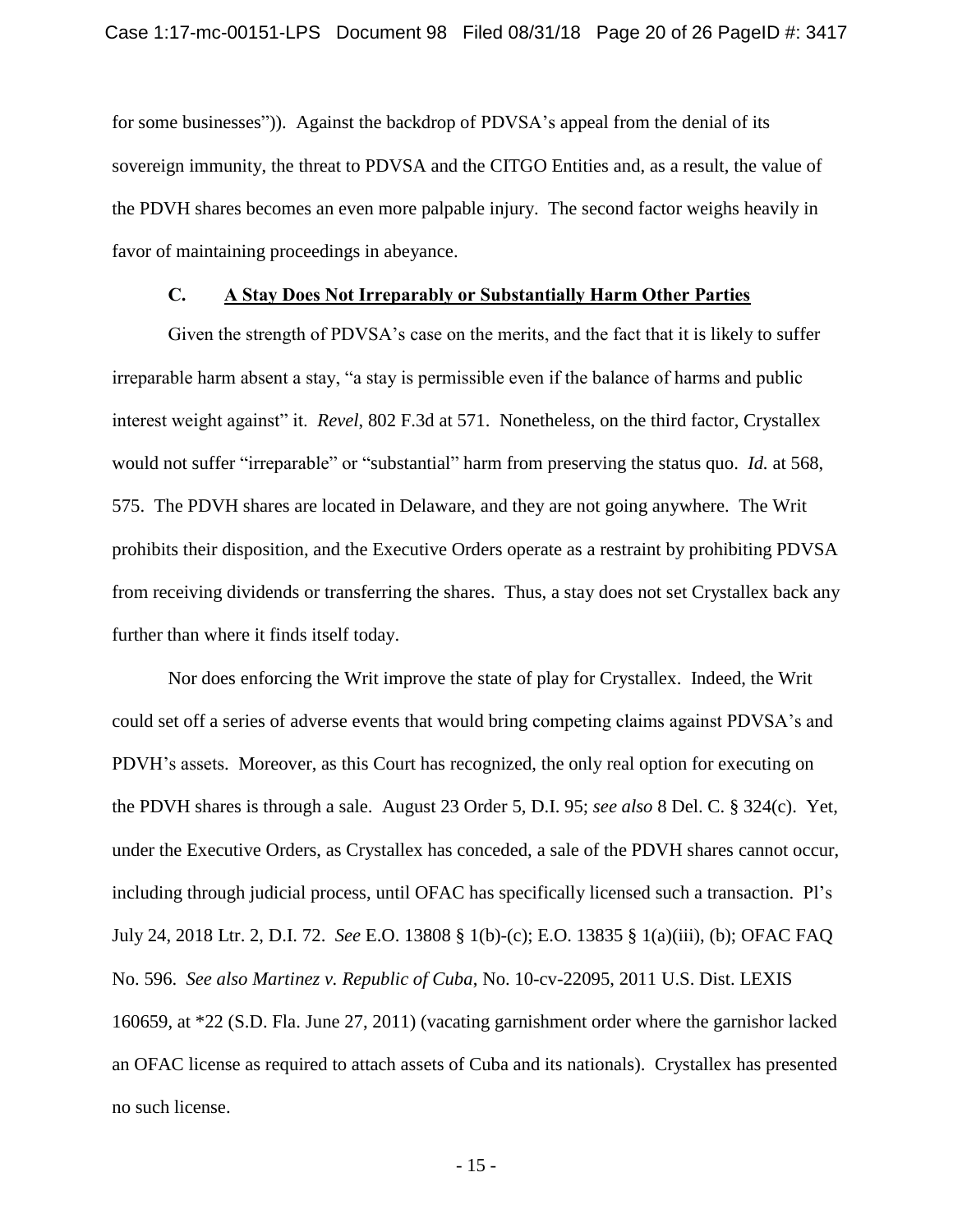for some businesses")). Against the backdrop of PDVSA's appeal from the denial of its sovereign immunity, the threat to PDVSA and the CITGO Entities and, as a result, the value of the PDVH shares becomes an even more palpable injury. The second factor weighs heavily in favor of maintaining proceedings in abeyance.

#### **C. A Stay Does Not Irreparably or Substantially Harm Other Parties**

Given the strength of PDVSA's case on the merits, and the fact that it is likely to suffer irreparable harm absent a stay, "a stay is permissible even if the balance of harms and public interest weight against" it. *Revel*, 802 F.3d at 571. Nonetheless, on the third factor, Crystallex would not suffer "irreparable" or "substantial" harm from preserving the status quo. *Id.* at 568, 575. The PDVH shares are located in Delaware, and they are not going anywhere. The Writ prohibits their disposition, and the Executive Orders operate as a restraint by prohibiting PDVSA from receiving dividends or transferring the shares. Thus, a stay does not set Crystallex back any further than where it finds itself today.

Nor does enforcing the Writ improve the state of play for Crystallex. Indeed, the Writ could set off a series of adverse events that would bring competing claims against PDVSA's and PDVH's assets. Moreover, as this Court has recognized, the only real option for executing on the PDVH shares is through a sale. August 23 Order 5, D.I. 95; *see also* 8 Del. C. § 324(c). Yet, under the Executive Orders, as Crystallex has conceded, a sale of the PDVH shares cannot occur, including through judicial process, until OFAC has specifically licensed such a transaction. Pl's July 24, 2018 Ltr. 2, D.I. 72. *See* E.O. 13808 § 1(b)-(c); E.O. 13835 § 1(a)(iii), (b); OFAC FAQ No. 596. *See also Martinez v. Republic of Cuba*, No. 10-cv-22095, 2011 U.S. Dist. LEXIS 160659, at \*22 (S.D. Fla. June 27, 2011) (vacating garnishment order where the garnishor lacked an OFAC license as required to attach assets of Cuba and its nationals). Crystallex has presented no such license.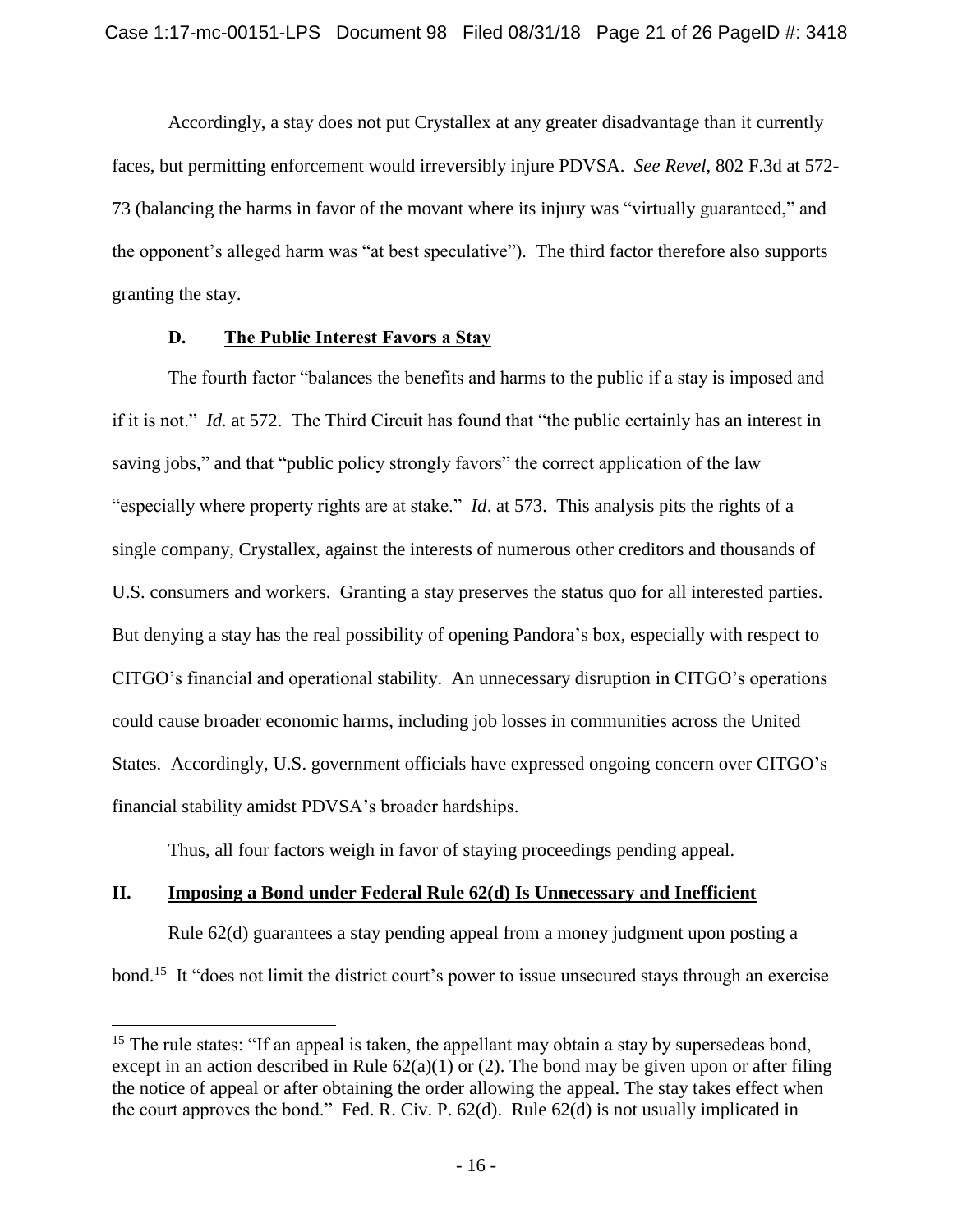Accordingly, a stay does not put Crystallex at any greater disadvantage than it currently faces, but permitting enforcement would irreversibly injure PDVSA. *See Revel*, 802 F.3d at 572- 73 (balancing the harms in favor of the movant where its injury was "virtually guaranteed," and the opponent's alleged harm was "at best speculative"). The third factor therefore also supports granting the stay.

#### **D. The Public Interest Favors a Stay**

The fourth factor "balances the benefits and harms to the public if a stay is imposed and if it is not." *Id.* at 572. The Third Circuit has found that "the public certainly has an interest in saving jobs," and that "public policy strongly favors" the correct application of the law "especially where property rights are at stake." *Id*. at 573. This analysis pits the rights of a single company, Crystallex, against the interests of numerous other creditors and thousands of U.S. consumers and workers. Granting a stay preserves the status quo for all interested parties. But denying a stay has the real possibility of opening Pandora's box, especially with respect to CITGO's financial and operational stability. An unnecessary disruption in CITGO's operations could cause broader economic harms, including job losses in communities across the United States. Accordingly, U.S. government officials have expressed ongoing concern over CITGO's financial stability amidst PDVSA's broader hardships.

Thus, all four factors weigh in favor of staying proceedings pending appeal.

### **II. Imposing a Bond under Federal Rule 62(d) Is Unnecessary and Inefficient**

 $\overline{a}$ 

Rule 62(d) guarantees a stay pending appeal from a money judgment upon posting a bond.<sup>15</sup> It "does not limit the district court's power to issue unsecured stays through an exercise

<sup>&</sup>lt;sup>15</sup> The rule states: "If an appeal is taken, the appellant may obtain a stay by supersedeas bond, except in an action described in Rule  $62(a)(1)$  or (2). The bond may be given upon or after filing the notice of appeal or after obtaining the order allowing the appeal. The stay takes effect when the court approves the bond." Fed. R. Civ. P. 62(d). Rule 62(d) is not usually implicated in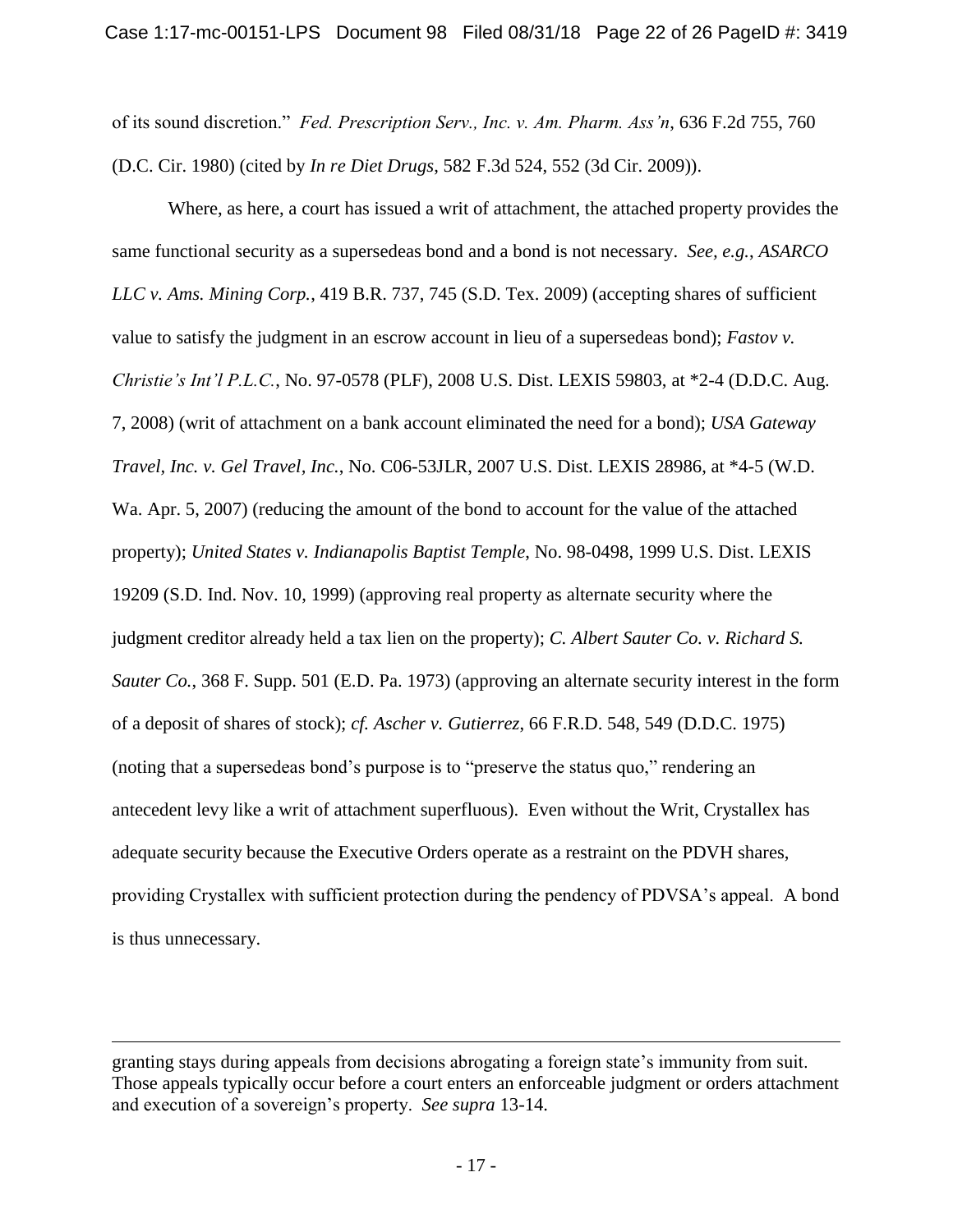of its sound discretion." *Fed. Prescription Serv., Inc. v. Am. Pharm. Ass'n*, 636 F.2d 755, 760 (D.C. Cir. 1980) (cited by *In re Diet Drugs*, 582 F.3d 524, 552 (3d Cir. 2009)).

Where, as here, a court has issued a writ of attachment, the attached property provides the same functional security as a supersedeas bond and a bond is not necessary. *See, e.g.*, *ASARCO LLC v. Ams. Mining Corp.*, 419 B.R. 737, 745 (S.D. Tex. 2009) (accepting shares of sufficient value to satisfy the judgment in an escrow account in lieu of a supersedeas bond); *Fastov v. Christie's Int'l P.L.C.*, No. 97-0578 (PLF), 2008 U.S. Dist. LEXIS 59803, at \*2-4 (D.D.C. Aug. 7, 2008) (writ of attachment on a bank account eliminated the need for a bond); *USA Gateway Travel, Inc. v. Gel Travel, Inc.*, No. C06-53JLR, 2007 U.S. Dist. LEXIS 28986, at \*4-5 (W.D. Wa. Apr. 5, 2007) (reducing the amount of the bond to account for the value of the attached property); *United States v. Indianapolis Baptist Temple*, No. 98-0498, 1999 U.S. Dist. LEXIS 19209 (S.D. Ind. Nov. 10, 1999) (approving real property as alternate security where the judgment creditor already held a tax lien on the property); *C. Albert Sauter Co. v. Richard S. Sauter Co.*, 368 F. Supp. 501 (E.D. Pa. 1973) (approving an alternate security interest in the form of a deposit of shares of stock); *cf. Ascher v. Gutierrez*, 66 F.R.D. 548, 549 (D.D.C. 1975) (noting that a supersedeas bond's purpose is to "preserve the status quo," rendering an antecedent levy like a writ of attachment superfluous). Even without the Writ, Crystallex has adequate security because the Executive Orders operate as a restraint on the PDVH shares, providing Crystallex with sufficient protection during the pendency of PDVSA's appeal. A bond is thus unnecessary.

granting stays during appeals from decisions abrogating a foreign state's immunity from suit. Those appeals typically occur before a court enters an enforceable judgment or orders attachment and execution of a sovereign's property. *See supra* 13-14.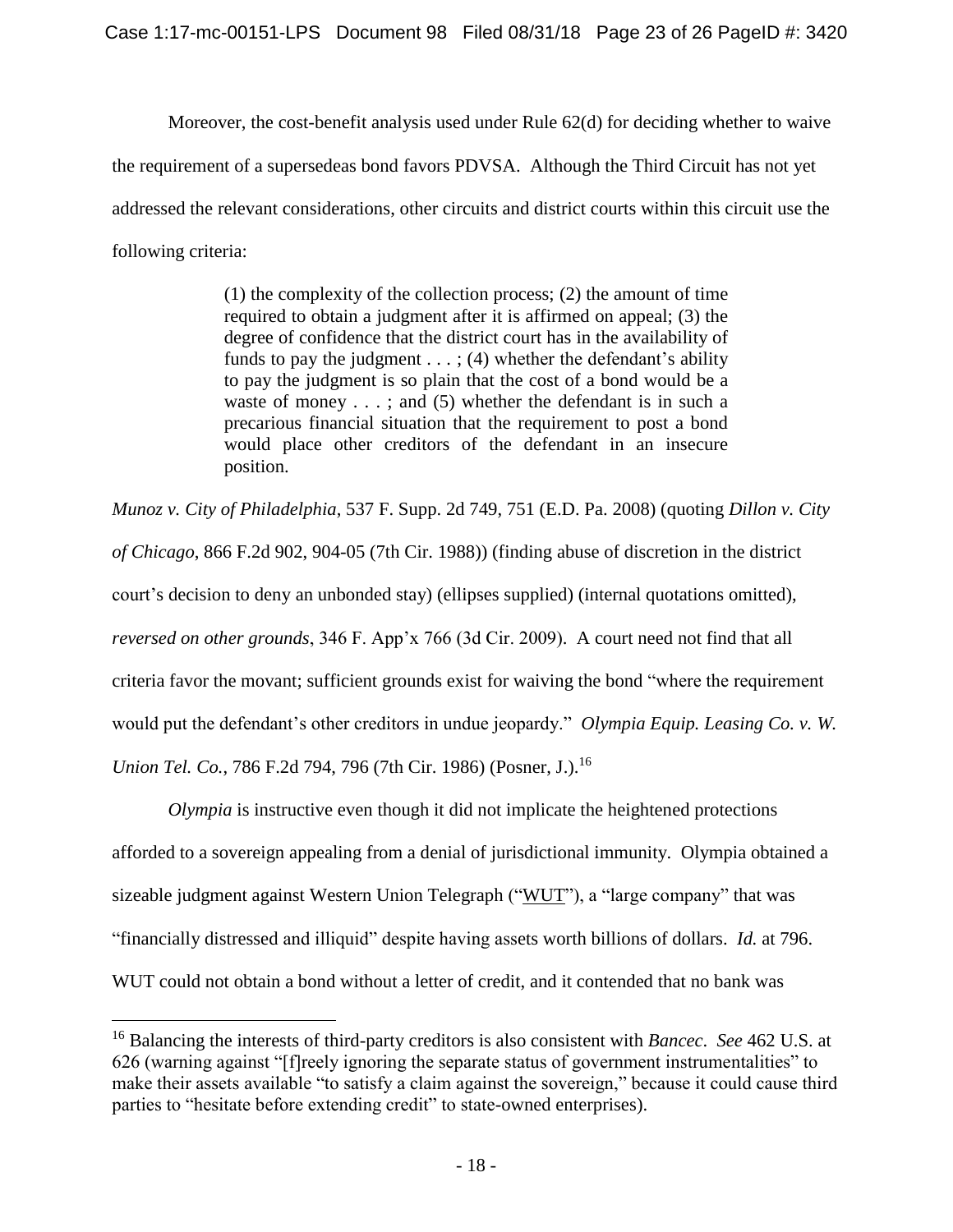Moreover, the cost-benefit analysis used under Rule 62(d) for deciding whether to waive the requirement of a supersedeas bond favors PDVSA. Although the Third Circuit has not yet addressed the relevant considerations, other circuits and district courts within this circuit use the following criteria:

> (1) the complexity of the collection process; (2) the amount of time required to obtain a judgment after it is affirmed on appeal; (3) the degree of confidence that the district court has in the availability of funds to pay the judgment  $\dots$ ; (4) whether the defendant's ability to pay the judgment is so plain that the cost of a bond would be a waste of money  $\dots$ ; and (5) whether the defendant is in such a precarious financial situation that the requirement to post a bond would place other creditors of the defendant in an insecure position.

*Munoz v. City of Philadelphia*, 537 F. Supp. 2d 749, 751 (E.D. Pa. 2008) (quoting *Dillon v. City of Chicago*, 866 F.2d 902, 904-05 (7th Cir. 1988)) (finding abuse of discretion in the district court's decision to deny an unbonded stay) (ellipses supplied) (internal quotations omitted), *reversed on other grounds*, 346 F. App'x 766 (3d Cir. 2009). A court need not find that all criteria favor the movant; sufficient grounds exist for waiving the bond "where the requirement would put the defendant's other creditors in undue jeopardy." *Olympia Equip. Leasing Co. v. W. Union Tel. Co.*, 786 F.2d 794, 796 (7th Cir. 1986) (Posner, J.). 16

*Olympia* is instructive even though it did not implicate the heightened protections afforded to a sovereign appealing from a denial of jurisdictional immunity. Olympia obtained a sizeable judgment against Western Union Telegraph ("WUT"), a "large company" that was "financially distressed and illiquid" despite having assets worth billions of dollars. *Id.* at 796. WUT could not obtain a bond without a letter of credit, and it contended that no bank was

<sup>16</sup> Balancing the interests of third-party creditors is also consistent with *Bancec*. *See* 462 U.S. at 626 (warning against "[f]reely ignoring the separate status of government instrumentalities" to make their assets available "to satisfy a claim against the sovereign," because it could cause third parties to "hesitate before extending credit" to state-owned enterprises).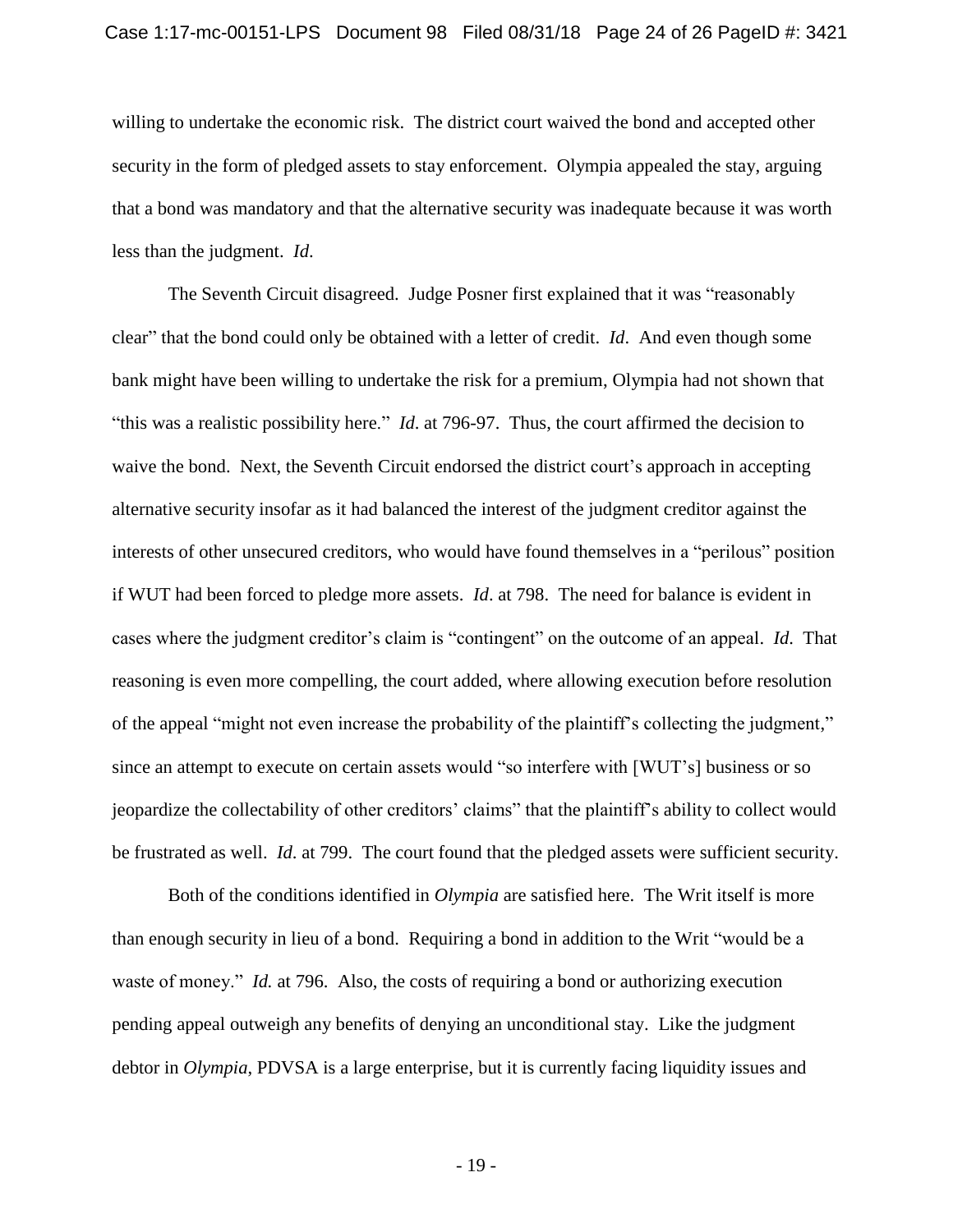willing to undertake the economic risk. The district court waived the bond and accepted other security in the form of pledged assets to stay enforcement. Olympia appealed the stay, arguing that a bond was mandatory and that the alternative security was inadequate because it was worth less than the judgment. *Id*.

The Seventh Circuit disagreed. Judge Posner first explained that it was "reasonably clear" that the bond could only be obtained with a letter of credit. *Id*. And even though some bank might have been willing to undertake the risk for a premium, Olympia had not shown that "this was a realistic possibility here." *Id*. at 796-97. Thus, the court affirmed the decision to waive the bond. Next, the Seventh Circuit endorsed the district court's approach in accepting alternative security insofar as it had balanced the interest of the judgment creditor against the interests of other unsecured creditors, who would have found themselves in a "perilous" position if WUT had been forced to pledge more assets. *Id*. at 798. The need for balance is evident in cases where the judgment creditor's claim is "contingent" on the outcome of an appeal. *Id*. That reasoning is even more compelling, the court added, where allowing execution before resolution of the appeal "might not even increase the probability of the plaintiff's collecting the judgment," since an attempt to execute on certain assets would "so interfere with [WUT's] business or so jeopardize the collectability of other creditors' claims" that the plaintiff's ability to collect would be frustrated as well. *Id*. at 799. The court found that the pledged assets were sufficient security.

Both of the conditions identified in *Olympia* are satisfied here. The Writ itself is more than enough security in lieu of a bond. Requiring a bond in addition to the Writ "would be a waste of money." *Id.* at 796. Also, the costs of requiring a bond or authorizing execution pending appeal outweigh any benefits of denying an unconditional stay. Like the judgment debtor in *Olympia*, PDVSA is a large enterprise, but it is currently facing liquidity issues and

- 19 -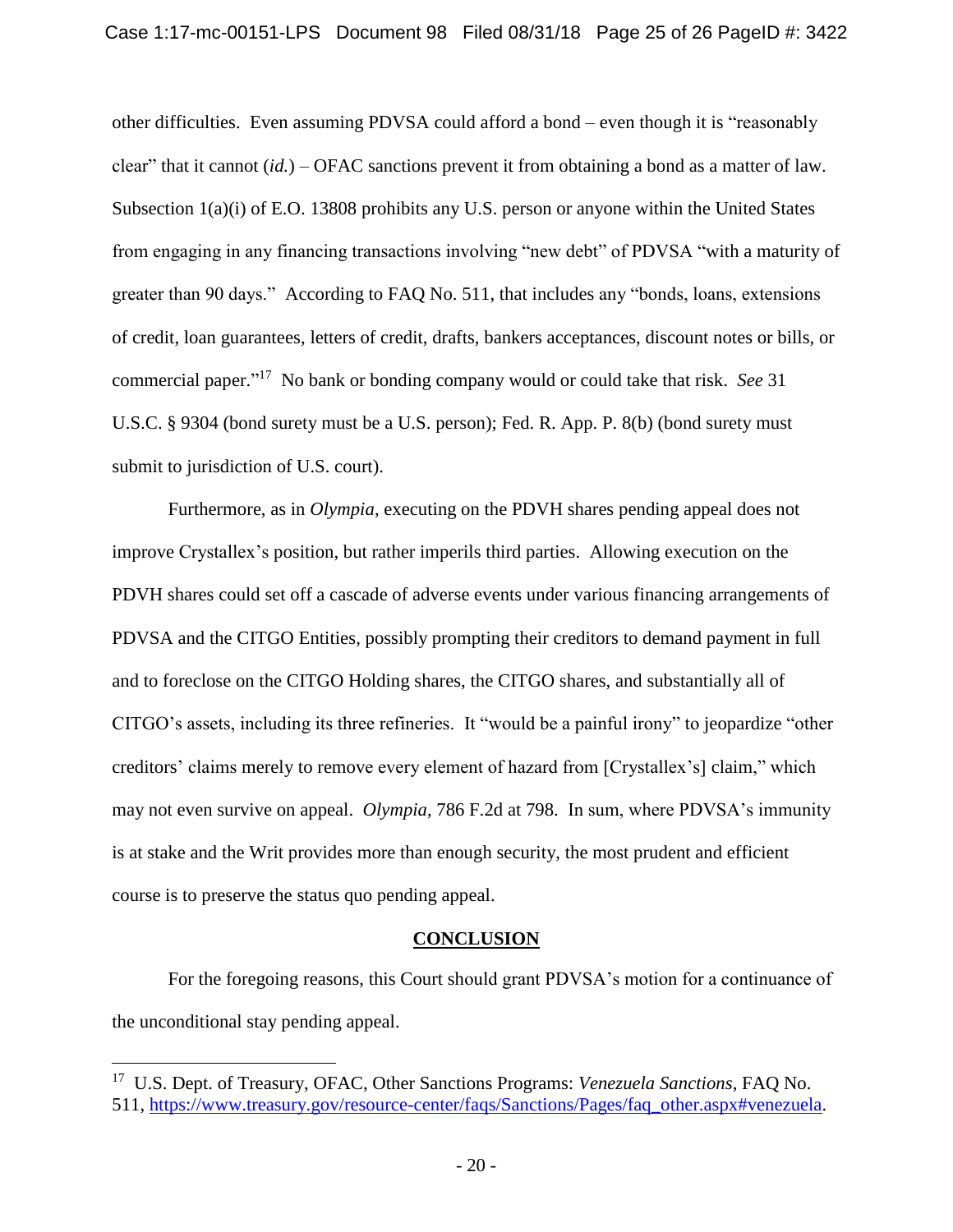other difficulties. Even assuming PDVSA could afford a bond – even though it is "reasonably clear" that it cannot (*id.*) – OFAC sanctions prevent it from obtaining a bond as a matter of law. Subsection 1(a)(i) of E.O. 13808 prohibits any U.S. person or anyone within the United States from engaging in any financing transactions involving "new debt" of PDVSA "with a maturity of greater than 90 days." According to FAQ No. 511, that includes any "bonds, loans, extensions of credit, loan guarantees, letters of credit, drafts, bankers acceptances, discount notes or bills, or commercial paper." 17 No bank or bonding company would or could take that risk. *See* 31 U.S.C. § 9304 (bond surety must be a U.S. person); Fed. R. App. P. 8(b) (bond surety must submit to jurisdiction of U.S. court).

Furthermore, as in *Olympia*, executing on the PDVH shares pending appeal does not improve Crystallex's position, but rather imperils third parties. Allowing execution on the PDVH shares could set off a cascade of adverse events under various financing arrangements of PDVSA and the CITGO Entities, possibly prompting their creditors to demand payment in full and to foreclose on the CITGO Holding shares, the CITGO shares, and substantially all of CITGO's assets, including its three refineries. It "would be a painful irony" to jeopardize "other creditors' claims merely to remove every element of hazard from [Crystallex's] claim," which may not even survive on appeal. *Olympia*, 786 F.2d at 798. In sum, where PDVSA's immunity is at stake and the Writ provides more than enough security, the most prudent and efficient course is to preserve the status quo pending appeal.

#### **CONCLUSION**

For the foregoing reasons, this Court should grant PDVSA's motion for a continuance of the unconditional stay pending appeal.

<sup>17</sup> U.S. Dept. of Treasury, OFAC, Other Sanctions Programs: *Venezuela Sanctions*, FAQ No. 511, https://www.treasury.gov/resource-center/faqs/Sanctions/Pages/faq\_other.aspx#venezuela.